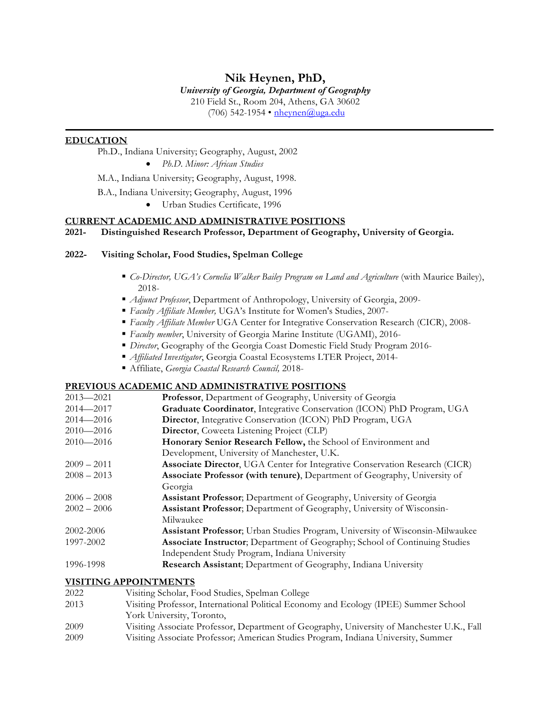# **Nik Heynen, PhD,**

#### *University of Georgia, Department of Geography*

210 Field St., Room 204, Athens, GA 30602

(706) 542-1954 • nheynen@uga.edu

## **EDUCATION**

Ph.D., Indiana University; Geography, August, 2002

• *Ph.D. Minor: African Studies*

M.A., Indiana University; Geography, August, 1998.

B.A., Indiana University; Geography, August, 1996

• Urban Studies Certificate, 1996

## **CURRENT ACADEMIC AND ADMINISTRATIVE POSITIONS**

## **2021- Distinguished Research Professor, Department of Geography, University of Georgia.**

## **2022- Visiting Scholar, Food Studies, Spelman College**

- § *Co-Director, UGA's Cornelia Walker Bailey Program on Land and Agriculture* (with Maurice Bailey), 2018-
- *Adjunct Professor*, Department of Anthropology, University of Georgia, 2009-
- § *Faculty Affiliate Member,* UGA's Institute for Women's Studies, 2007-
- § *Faculty Affiliate Member* UGA Center for Integrative Conservation Research (CICR), 2008-
- § *Faculty member*, University of Georgia Marine Institute (UGAMI), 2016-
- § *Director*, Geography of the Georgia Coast Domestic Field Study Program 2016-
- § *Affiliated Investigator*, Georgia Coastal Ecosystems LTER Project, 2014-
- § Affiliate, *Georgia Coastal Research Council,* 2018-

### **PREVIOUS ACADEMIC AND ADMINISTRATIVE POSITIONS**

| $2013 - 2021$ | Professor, Department of Geography, University of Georgia                     |
|---------------|-------------------------------------------------------------------------------|
| $2014 - 2017$ | Graduate Coordinator, Integrative Conservation (ICON) PhD Program, UGA        |
| $2014 - 2016$ | Director, Integrative Conservation (ICON) PhD Program, UGA                    |
| $2010 - 2016$ | <b>Director, Coweeta Listening Project (CLP)</b>                              |
| $2010 - 2016$ | Honorary Senior Research Fellow, the School of Environment and                |
|               | Development, University of Manchester, U.K.                                   |
| $2009 - 2011$ | Associate Director, UGA Center for Integrative Conservation Research (CICR)   |
| $2008 - 2013$ | Associate Professor (with tenure), Department of Geography, University of     |
|               | Georgia                                                                       |
| $2006 - 2008$ | Assistant Professor; Department of Geography, University of Georgia           |
| $2002 - 2006$ | Assistant Professor; Department of Geography, University of Wisconsin-        |
|               | Milwaukee                                                                     |
| 2002-2006     | Assistant Professor; Urban Studies Program, University of Wisconsin-Milwaukee |
| 1997-2002     | Associate Instructor; Department of Geography; School of Continuing Studies   |
|               | Independent Study Program, Indiana University                                 |
| 1996-1998     | Research Assistant; Department of Geography, Indiana University               |

## **VISITING APPOINTMENTS**

- 2022 Visiting Scholar, Food Studies, Spelman College
- 2013 Visiting Professor, International Political Economy and Ecology (IPEE) Summer School York University, Toronto,
- 2009 Visiting Associate Professor, Department of Geography, University of Manchester U.K., Fall 2009 Visiting Associate Professor; American Studies Program, Indiana University, Summer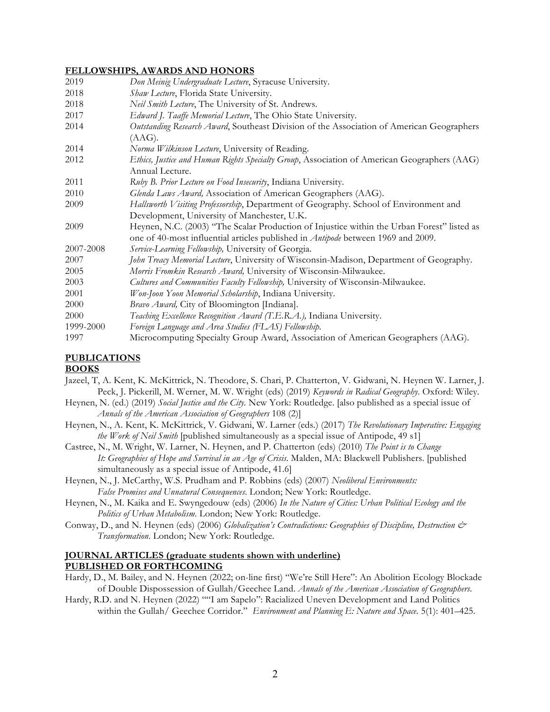### **FELLOWSHIPS, AWARDS AND HONORS**

| 2019      | Don Meinig Undergraduate Lecture, Syracuse University.                                      |
|-----------|---------------------------------------------------------------------------------------------|
| 2018      | Shaw Lecture, Florida State University.                                                     |
| 2018      | Neil Smith Lecture, The University of St. Andrews.                                          |
| 2017      | Edward J. Taaffe Memorial Lecture, The Ohio State University.                               |
| 2014      | Outstanding Research Award, Southeast Division of the Association of American Geographers   |
|           | (AAG).                                                                                      |
| 2014      | Norma Wilkinson Lecture, University of Reading.                                             |
| 2012      | Ethics, Justice and Human Rights Specialty Group, Association of American Geographers (AAG) |
|           | Annual Lecture.                                                                             |
| 2011      | Ruby B. Prior Lecture on Food Insecurity, Indiana University.                               |
| 2010      | Glenda Laws Award, Association of American Geographers (AAG).                               |
| 2009      | Hallsworth Visiting Professorship, Department of Geography. School of Environment and       |
|           | Development, University of Manchester, U.K.                                                 |
| 2009      | Heynen, N.C. (2003) "The Scalar Production of Injustice within the Urban Forest" listed as  |
|           | one of 40-most influential articles published in <i>Antipode</i> between 1969 and 2009.     |
| 2007-2008 | Service-Learning Fellowship, University of Georgia.                                         |
| 2007      | John Treacy Memorial Lecture, University of Wisconsin-Madison, Department of Geography.     |
| 2005      | Morris Fromkin Research Award, University of Wisconsin-Milwaukee.                           |
| 2003      | Cultures and Communities Faculty Fellowship, University of Wisconsin-Milwaukee.             |
| 2001      | Won-Joon Yoon Memorial Scholarship, Indiana University.                                     |
| 2000      | Bravo Award, City of Bloomington [Indiana].                                                 |
| 2000      | Teaching Excellence Recognition Award (T.E.R.A.), Indiana University.                       |
| 1999-2000 | Foreign Language and Area Studies (FLAS) Fellowship.                                        |
| 1997      | Microcomputing Specialty Group Award, Association of American Geographers (AAG).            |

### **PUBLICATIONS**

#### **BOOKS**

- Jazeel, T, A. Kent, K. McKittrick, N. Theodore, S. Chari, P. Chatterton, V. Gidwani, N. Heynen W. Larner, J. Peck, J. Pickerill, M. Werner, M. W. Wright (eds) (2019) *Keywords in Radical Geography*. Oxford: Wiley.
- Heynen, N. (ed.) (2019) *Social Justice and the City.* New York: Routledge. [also published as a special issue of *Annals of the American Association of Geographers* 108 (2)]
- Heynen, N., A. Kent, K. McKittrick, V. Gidwani, W. Larner (eds.) (2017) *The Revolutionary Imperative: Engaging the Work of Neil Smith* [published simultaneously as a special issue of Antipode, 49 s1]
- Castree, N., M. Wright, W. Larner, N. Heynen, and P. Chatterton (eds) (2010) *The Point is to Change It: Geographies of Hope and Survival in an Age of Crisis*. Malden, MA: Blackwell Publishers. [published simultaneously as a special issue of Antipode, 41.6]
- Heynen, N., J. McCarthy, W.S. Prudham and P. Robbins (eds) (2007) *Neoliberal Environments: False Promises and Unnatural Consequences*. London; New York: Routledge.
- Heynen, N., M. Kaika and E. Swyngedouw (eds) (2006) *In the Nature of Cities: Urban Political Ecology and the Politics of Urban Metabolism*. London; New York: Routledge.
- Conway, D., and N. Heynen (eds) (2006) *Globalization's Contradictions: Geographies of Discipline, Destruction & Transformation*. London; New York: Routledge.

## **JOURNAL ARTICLES (graduate students shown with underline) PUBLISHED OR FORTHCOMING**

- Hardy, D., M. Bailey, and N. Heynen (2022; on-line first) "We're Still Here": An Abolition Ecology Blockade of Double Dispossession of Gullah/Geechee Land. *Annals of the American Association of Geographers*.
- Hardy, R.D. and N. Heynen (2022) ""I am Sapelo": Racialized Uneven Development and Land Politics within the Gullah/ Geechee Corridor." *Environment and Planning E: Nature and Space.* 5(1): 401–425.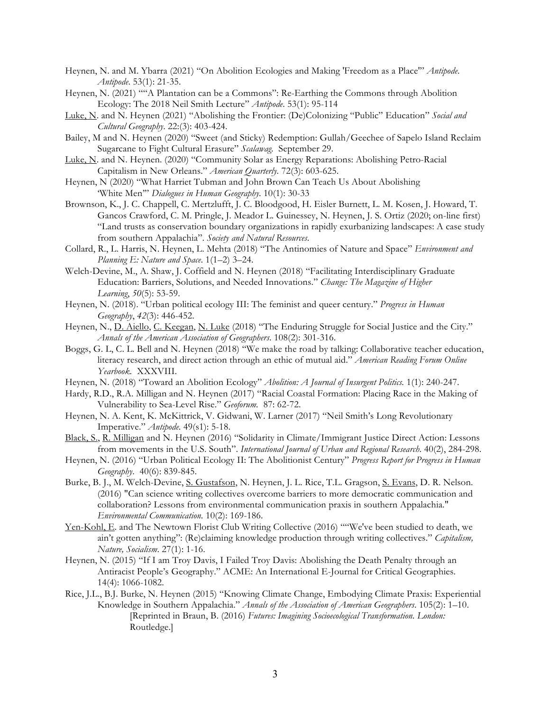- Heynen, N. and M. Ybarra (2021) "On Abolition Ecologies and Making 'Freedom as a Place'" *Antipode*. *Antipode*. 53(1): 21-35.
- Heynen, N. (2021) ""A Plantation can be a Commons": Re-Earthing the Commons through Abolition Ecology: The 2018 Neil Smith Lecture" *Antipode*. 53(1): 95-114
- Luke, N. and N. Heynen (2021) "Abolishing the Frontier: (De)Colonizing "Public" Education" *Social and Cultural Geography*. 22:(3): 403-424.
- Bailey, M and N. Heynen (2020) "Sweet (and Sticky) Redemption: Gullah/Geechee of Sapelo Island Reclaim Sugarcane to Fight Cultural Erasure" *Scalawag.* September 29.
- Luke, N. and N. Heynen. (2020) "Community Solar as Energy Reparations: Abolishing Petro-Racial Capitalism in New Orleans." *American Quarterly.* 72(3): 603-625.
- Heynen, N (2020) "What Harriet Tubman and John Brown Can Teach Us About Abolishing 'White Men'" *Dialogues in Human Geography*. 10(1): 30-33
- Brownson, K., J. C. Chappell, C. Mertzlufft, J. C. Bloodgood, H. Eisler Burnett, L. M. Kosen, J. Howard, T. Gancos Crawford, C. M. Pringle, J. Meador L. Guinessey, N. Heynen, J. S. Ortiz (2020; on-line first) "Land trusts as conservation boundary organizations in rapidly exurbanizing landscapes: A case study from southern Appalachia". *Society and Natural Resources*.
- Collard, R., L. Harris, N. Heynen, L. Mehta (2018) "The Antinomies of Nature and Space" *Environment and Planning E: Nature and Space*. 1(1–2) 3–24.
- Welch-Devine, M., A. Shaw, J. Coffield and N. Heynen (2018) "Facilitating Interdisciplinary Graduate Education: Barriers, Solutions, and Needed Innovations." *Change: The Magazine of Higher Learning*, *50*(5): 53-59.
- Heynen, N. (2018). "Urban political ecology III: The feminist and queer century." *Progress in Human Geography*, *42*(3): 446-452.
- Heynen, N., D. Aiello, C. Keegan, N. Luke (2018) "The Enduring Struggle for Social Justice and the City." *Annals of the American Association of Geographers*. 108(2): 301-316.
- Boggs, G. L, C. L. Bell and N. Heynen (2018) "We make the road by talking: Collaborative teacher education, literacy research, and direct action through an ethic of mutual aid." *American Reading Forum Online Yearbook.* XXXVIII.
- Heynen, N. (2018) "Toward an Abolition Ecology" *Abolition: A Journal of Insurgent Politics.* 1(1): 240-247.
- Hardy, R.D., R.A. Milligan and N. Heynen (2017) "Racial Coastal Formation: Placing Race in the Making of Vulnerability to Sea-Level Rise." *Geoforum.* 87: 62-72.
- Heynen, N. A. Kent, K. McKittrick, V. Gidwani, W. Larner (2017) "Neil Smith's Long Revolutionary Imperative." *Antipode.* 49(s1): 5-18.
- Black, S., R. Milligan and N. Heynen (2016) "Solidarity in Climate/Immigrant Justice Direct Action: Lessons from movements in the U.S. South". *International Journal of Urban and Regional Research*. 40(2), 284-298.
- Heynen, N. (2016) "Urban Political Ecology II: The Abolitionist Century" *Progress Report for Progress in Human Geography*. 40(6): 839-845.
- Burke, B. J., M. Welch-Devine, S. Gustafson, N. Heynen, J. L. Rice, T.L. Gragson, S. Evans, D. R. Nelson. (2016) "Can science writing collectives overcome barriers to more democratic communication and collaboration? Lessons from environmental communication praxis in southern Appalachia." *Environmental Communication.* 10(2): 169-186.
- Yen-Kohl, E. and The Newtown Florist Club Writing Collective (2016) ""We've been studied to death, we ain't gotten anything": (Re)claiming knowledge production through writing collectives." *Capitalism, Nature, Socialism*. 27(1): 1-16.
- Heynen, N. (2015) "If I am Troy Davis, I Failed Troy Davis: Abolishing the Death Penalty through an Antiracist People's Geography." ACME: An International E-Journal for Critical Geographies. 14(4): 1066-1082.
- Rice, J.L., B.J. Burke, N. Heynen (2015) "Knowing Climate Change, Embodying Climate Praxis: Experiential Knowledge in Southern Appalachia." *Annals of the Association of American Geographers*. 105(2): 1–10. [Reprinted in Braun, B. (2016) *Futures: Imagining Socioecological Transformation. London:*  Routledge.]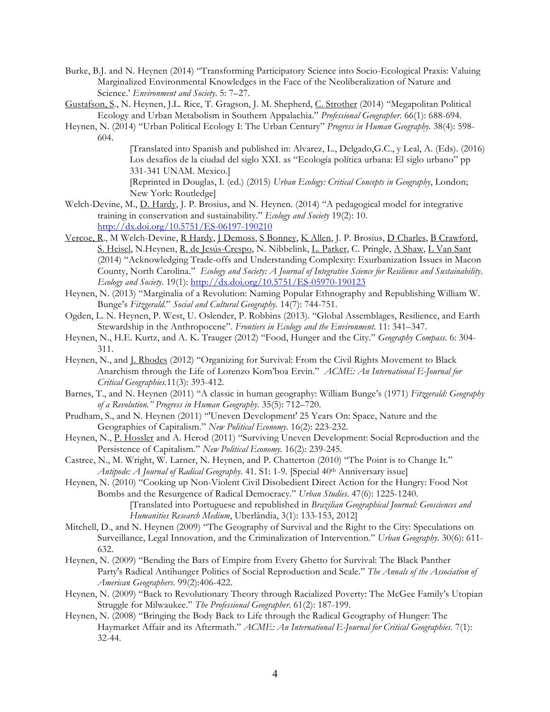- Burke, B.J. and N. Heynen (2014) "Transforming Participatory Science into Socio-Ecological Praxis: Valuing Marginalized Environmental Knowledges in the Face of the Neoliberalization of Nature and Science.' *Environment and Society*. 5: 7–27.
- Gustafson, S., N. Heynen, J.L. Rice, T. Gragson, J. M. Shepherd, C. Strother (2014) "Megapolitan Political Ecology and Urban Metabolism in Southern Appalachia." *Professional Geographer.* 66(1): 688-694.
- Heynen, N. (2014) "Urban Political Ecology I: The Urban Century" *Progress in Human Geography.* 38(4): 598- 604.

[Translated into Spanish and published in: Alvarez, L., Delgado,G.C., y Leal, A. (Eds). (2016) Los desafíos de la ciudad del siglo XXI. as "Ecología política urbana: El siglo urbano" pp 331-341 UNAM. Mexico.] [Reprinted in Douglas, I. (ed.) (2015) *Urban Ecology: Critical Concepts in Geography*, London; New York: Routledge]

- Welch-Devine, M., D. Hardy, J. P. Brosius, and N. Heynen. (2014) "A pedagogical model for integrative training in conservation and sustainability." *Ecology and Society* 19(2): 10. http://dx.doi.org/10.5751/ES-06197-190210
- Vercoe, R., M Welch-Devine, R Hardy, J Demoss, S Bonney, K Allen, J. P. Brosius, D Charles, B Crawford, S. Heisel, N.Heynen, R. de Jesús-Crespo, N. Nibbelink, L. Parker, C. Pringle, A Shaw, L Van Sant (2014) "Acknowledging Trade-offs and Understanding Complexity: Exurbanization Issues in Macon County, North Carolina." *Ecology and Society: A Journal of Integrative Science for Resilience and Sustainability*. *Ecology and Society.* 19(1): http://dx.doi.org/10.5751/ES-05970-190123
- Heynen, N. (2013) "Marginalia of a Revolution: Naming Popular Ethnography and Republishing William W. Bunge's *Fitzgerald.*" *Social and Cultural Geography.* 14(7): 744-751.
- Ogden, L. N. Heynen, P. West, U. Oslender, P. Robbins (2013). "Global Assemblages, Resilience, and Earth Stewardship in the Anthropocene". *Frontiers in Ecology and the Environment*. 11: 341–347.
- Heynen, N., H.E. Kurtz, and A. K. Trauger (2012) "Food, Hunger and the City." *Geography Compass.* 6: 304- 311.
- Heynen, N., and J. Rhodes (2012) "Organizing for Survival: From the Civil Rights Movement to Black Anarchism through the Life of Lorenzo Kom'boa Ervin." *ACME: An International E-Journal for Critical Geographies.*11(3): 393-412.
- Barnes, T., and N. Heynen (2011) "A classic in human geography: William Bunge's (1971) *Fitzgerald: Geography of a Revolution." Progress in Human Geography*. 35(5): 712–720.
- Prudham, S., and N. Heynen (2011) "'Uneven Development' 25 Years On: Space, Nature and the Geographies of Capitalism." *New Political Economy*. 16(2): 223-232.
- Heynen, N., P. Hossler and A. Herod (2011) "Surviving Uneven Development: Social Reproduction and the Persistence of Capitalism." *New Political Economy.* 16(2): 239-245.
- Castree, N., M. Wright, W. Larner, N. Heynen, and P. Chatterton (2010) "The Point is to Change It." *Antipode: A Journal of Radical Geography*. 41. S1: 1-9. [Special 40th Anniversary issue]
- Heynen, N. (2010) "Cooking up Non-Violent Civil Disobedient Direct Action for the Hungry: Food Not Bombs and the Resurgence of Radical Democracy." *Urban Studies*. 47(6): 1225-1240. [Translated into Portuguese and republished in *Brazilian Geographical Journal: Geosciences and Humanities Research Medium*, Uberlândia, 3(1): 133-153, 2012]
- Mitchell, D., and N. Heynen (2009) "The Geography of Survival and the Right to the City: Speculations on Surveillance, Legal Innovation, and the Criminalization of Intervention." *Urban Geography*. 30(6): 611- 632.
- Heynen, N. (2009) "Bending the Bars of Empire from Every Ghetto for Survival: The Black Panther Party's Radical Antihunger Politics of Social Reproduction and Scale." *The Annals of the Association of American Geographers*. 99(2):406-422.
- Heynen, N. (2009) "Back to Revolutionary Theory through Racialized Poverty: The McGee Family's Utopian Struggle for Milwaukee." *The Professional Geographer*. 61(2): 187-199.
- Heynen, N. (2008) "Bringing the Body Back to Life through the Radical Geography of Hunger: The Haymarket Affair and its Aftermath." *ACME: An International E-Journal for Critical Geographies.* 7(1): 32-44.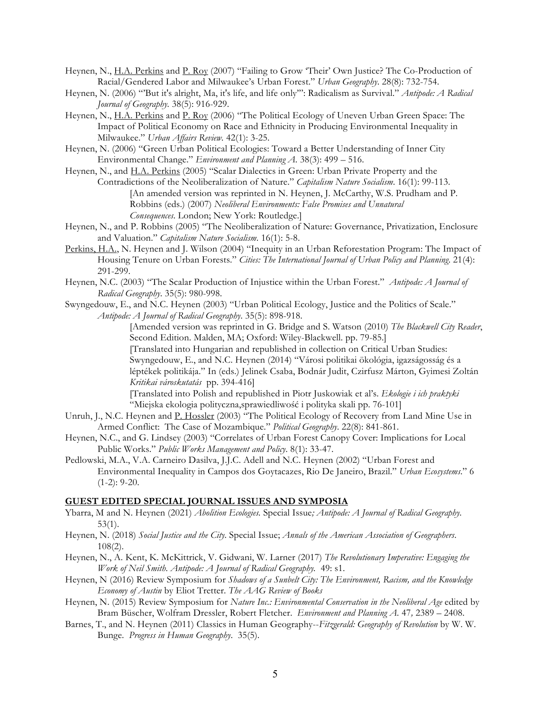- Heynen, N., H.A. Perkins and P. Roy (2007) "Failing to Grow 'Their' Own Justice? The Co-Production of Racial/Gendered Labor and Milwaukee's Urban Forest." *Urban Geography*. 28(8): 732-754.
- Heynen, N. (2006) "'But it's alright, Ma, it's life, and life only'": Radicalism as Survival." *Antipode: A Radical Journal of Geography.* 38(5): 916-929.
- Heynen, N., H.A. Perkins and P. Roy (2006) "The Political Ecology of Uneven Urban Green Space: The Impact of Political Economy on Race and Ethnicity in Producing Environmental Inequality in Milwaukee." *Urban Affairs Review.* 42(1): 3-25.
- Heynen, N. (2006) "Green Urban Political Ecologies: Toward a Better Understanding of Inner City Environmental Change." *Environment and Planning A.* 38(3): 499 – 516.
- Heynen, N., and H.A. Perkins (2005) "Scalar Dialectics in Green: Urban Private Property and the Contradictions of the Neoliberalization of Nature." *Capitalism Nature Socialism*. 16(1): 99-113. [An amended version was reprinted in N. Heynen, J. McCarthy, W.S. Prudham and P. Robbins (eds.) (2007) *Neoliberal Environments: False Promises and Unnatural Consequences*. London; New York: Routledge.]
- Heynen, N., and P. Robbins (2005) "The Neoliberalization of Nature: Governance, Privatization, Enclosure and Valuation." *Capitalism Nature Socialism*. 16(1): 5-8.
- Perkins, H.A., N. Heynen and J. Wilson (2004) "Inequity in an Urban Reforestation Program: The Impact of Housing Tenure on Urban Forests." *Cities: The International Journal of Urban Policy and Planning*. 21(4): 291-299.
- Heynen, N.C. (2003) "The Scalar Production of Injustice within the Urban Forest." *Antipode: A Journal of Radical Geography*. 35(5): 980-998.
- Swyngedouw, E., and N.C. Heynen (2003) "Urban Political Ecology, Justice and the Politics of Scale." *Antipode: A Journal of Radical Geography*. 35(5): 898-918.

[Amended version was reprinted in G. Bridge and S. Watson (2010) *The Blackwell City Reader*, Second Edition. Malden, MA; Oxford: Wiley-Blackwell. pp. 79-85.]

[Translated into Hungarian and republished in collection on Critical Urban Studies: Swyngedouw, E., and N.C. Heynen (2014) "Városi politikai ökológia, igazságosság és a léptékek politikája." In (eds.) Jelinek Csaba, Bodnár Judit, Czirfusz Márton, Gyimesi Zoltán *Kritikai városkutatás* pp. 394-416]

[Translated into Polish and republished in Piotr Juskowiak et al's. *Ekologie i ich praktyki* "Miejska ekologia polityczna,sprawiedliwość i polityka skali pp. 76-101]

- Unruh, J., N.C. Heynen and P. Hossler (2003) "The Political Ecology of Recovery from Land Mine Use in Armed Conflict: The Case of Mozambique." *Political Geography*. 22(8): 841-861.
- Heynen, N.C., and G. Lindsey (2003) "Correlates of Urban Forest Canopy Cover: Implications for Local Public Works." *Public Works Management and Policy*. 8(1): 33-47.
- Pedlowski, M.A., V.A. Carneiro Dasilva, J.J.C. Adell and N.C. Heynen (2002) "Urban Forest and Environmental Inequality in Campos dos Goytacazes, Rio De Janeiro, Brazil." *Urban Ecosystems*." 6  $(1-2)$ : 9-20.

#### **GUEST EDITED SPECIAL JOURNAL ISSUES AND SYMPOSIA**

- Ybarra, M and N. Heynen (2021) *Abolition Ecologies.* Special Issue*; Antipode: A Journal of Radical Geography.* 53(1).
- Heynen, N. (2018) *Social Justice and the City.* Special Issue; *Annals of the American Association of Geographers*. 108(2).
- Heynen, N., A. Kent, K. McKittrick, V. Gidwani, W. Larner (2017) *The Revolutionary Imperative: Engaging the Work of Neil Smith. Antipode: A Journal of Radical Geography.* 49: s1.
- Heynen, N (2016) Review Symposium for *Shadows of a Sunbelt City: The Environment, Racism, and the Knowledge Economy of Austin* by Eliot Tretter. *The AAG Review of Books*
- Heynen, N. (2015) Review Symposium for *Nature Inc.: Environmental Conservation in the Neoliberal Age* edited by Bram Büscher, Wolfram Dressler, Robert Fletcher. *Environment and Planning A.* 47*,* 2389 – 2408.
- Barnes, T., and N. Heynen (2011) Classics in Human Geography--*Fitzgerald: Geography of Revolution* by W. W. Bunge. *Progress in Human Geography*. 35(5).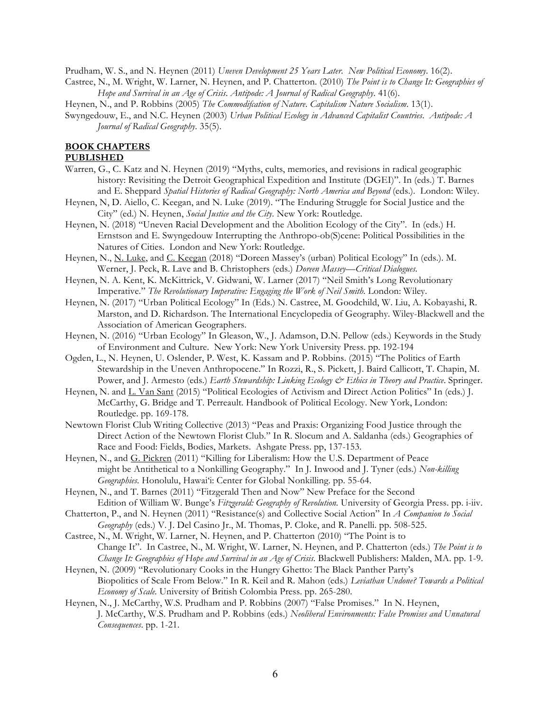Prudham, W. S., and N. Heynen (2011) *Uneven Development 25 Years Later. New Political Economy*. 16(2). Castree, N., M. Wright, W. Larner, N. Heynen, and P. Chatterton. (2010) *The Point is to Change It: Geographies of Hope and Survival in an Age of Crisis*. *Antipode: A Journal of Radical Geography*. 41(6).

Heynen, N., and P. Robbins (2005) *The Commodifcation of Nature*. *Capitalism Nature Socialism*. 13(1).

Swyngedouw, E., and N.C. Heynen (2003) *Urban Political Ecology in Advanced Capitalist Countries*. *Antipode: A Journal of Radical Geography*. 35(5).

#### **BOOK CHAPTERS**

## **PUBLISHED**

- Warren, G., C. Katz and N. Heynen (2019) "Myths, cults, memories, and revisions in radical geographic history: Revisiting the Detroit Geographical Expedition and Institute (DGEI)". In (eds.) T. Barnes and E. Sheppard *Spatial Histories of Radical Geography: North America and Beyond* (eds.). London: Wiley.
- Heynen, N, D. Aiello, C. Keegan, and N. Luke (2019). "The Enduring Struggle for Social Justice and the City" (ed.) N. Heynen, *Social Justice and the City*. New York: Routledge.
- Heynen, N. (2018) "Uneven Racial Development and the Abolition Ecology of the City". In (eds.) H. Ernstson and E. Swyngedouw Interrupting the Anthropo-ob(S)cene: Political Possibilities in the Natures of Cities. London and New York: Routledge.
- Heynen, N., N. Luke, and C. Keegan (2018) "Doreen Massey's (urban) Political Ecology" In (eds.). M. Werner, J. Peck, R. Lave and B. Christophers (eds.) *Doreen Massey—Critical Dialogues.*
- Heynen, N. A. Kent, K. McKittrick, V. Gidwani, W. Larner (2017) "Neil Smith's Long Revolutionary Imperative." *The Revolutionary Imperative: Engaging the Work of Neil Smith.* London: Wiley.
- Heynen, N. (2017) "Urban Political Ecology" In (Eds.) N. Castree, M. Goodchild, W. Liu, A. Kobayashi, R. Marston, and D. Richardson. The International Encyclopedia of Geography. Wiley-Blackwell and the Association of American Geographers.
- Heynen, N. (2016) "Urban Ecology" In Gleason, W., J. Adamson, D.N. Pellow (eds.) Keywords in the Study of Environment and Culture. New York: New York University Press. pp. 192-194
- Ogden, L., N. Heynen, U. Oslender, P. West, K. Kassam and P. Robbins. (2015) "The Politics of Earth Stewardship in the Uneven Anthropocene." In Rozzi, R., S. Pickett, J. Baird Callicott, T. Chapin, M. Power, and J. Armesto (eds.) *Earth Stewardship: Linking Ecology & Ethics in Theory and Practice*. Springer.
- Heynen, N. and L. Van Sant (2015) "Political Ecologies of Activism and Direct Action Politics" In (eds.) J. McCarthy, G. Bridge and T. Perreault. Handbook of Political Ecology. New York, London: Routledge. pp. 169-178.
- Newtown Florist Club Writing Collective (2013) "Peas and Praxis: Organizing Food Justice through the Direct Action of the Newtown Florist Club." In R. Slocum and A. Saldanha (eds.) Geographies of Race and Food: Fields, Bodies, Markets. Ashgate Press. pp, 137-153.
- Heynen, N., and G. Pickren (2011) "Killing for Liberalism: How the U.S. Department of Peace might be Antithetical to a Nonkilling Geography." In J. Inwood and J. Tyner (eds.) *Non-killing Geographies.* Honolulu, Hawai'i: Center for Global Nonkilling. pp. 55-64.
- Heynen, N., and T. Barnes (2011) "Fitzgerald Then and Now" New Preface for the Second Edition of William W. Bunge's *Fitzgerald: Geography of Revolution.* University of Georgia Press. pp. i-iiv.
- Chatterton, P., and N. Heynen (2011) "Resistance(s) and Collective Social Action" In *A Companion to Social Geography* (eds.) V. J. Del Casino Jr., M. Thomas, P. Cloke, and R. Panelli. pp. 508-525.
- Castree, N., M. Wright, W. Larner, N. Heynen, and P. Chatterton (2010) "The Point is to Change It". In Castree, N., M. Wright, W. Larner, N. Heynen, and P. Chatterton (eds.) *The Point is to Change It: Geographies of Hope and Survival in an Age of Crisis*. Blackwell Publishers: Malden, MA. pp. 1-9.
- Heynen, N. (2009) "Revolutionary Cooks in the Hungry Ghetto: The Black Panther Party's Biopolitics of Scale From Below." In R. Keil and R. Mahon (eds.) *Leviathan Undone? Towards a Political Economy of Scale.* University of British Colombia Press. pp. 265-280.
- Heynen, N., J. McCarthy, W.S. Prudham and P. Robbins (2007) "False Promises." In N. Heynen, J. McCarthy, W.S. Prudham and P. Robbins (eds.) *Neoliberal Environments: False Promises and Unnatural Consequences*. pp. 1-21.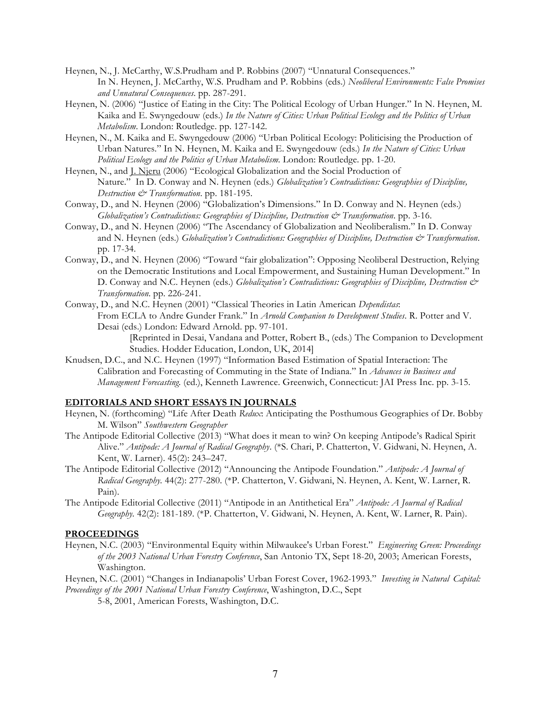- Heynen, N., J. McCarthy, W.S.Prudham and P. Robbins (2007) "Unnatural Consequences." In N. Heynen, J. McCarthy, W.S. Prudham and P. Robbins (eds.) *Neoliberal Environments: False Promises and Unnatural Consequences*. pp. 287-291.
- Heynen, N. (2006) "Justice of Eating in the City: The Political Ecology of Urban Hunger." In N. Heynen, M. Kaika and E. Swyngedouw (eds.) *In the Nature of Cities: Urban Political Ecology and the Politics of Urban Metabolism*. London: Routledge. pp. 127-142.
- Heynen, N., M. Kaika and E. Swyngedouw (2006) "Urban Political Ecology: Politicising the Production of Urban Natures." In N. Heynen, M. Kaika and E. Swyngedouw (eds.) *In the Nature of Cities: Urban Political Ecology and the Politics of Urban Metabolism.* London: Routledge. pp. 1-20.
- Heynen, N., and J. Njeru (2006) "Ecological Globalization and the Social Production of Nature." In D. Conway and N. Heynen (eds.) *Globalization's Contradictions: Geographies of Discipline, Destruction & Transformation*. pp. 181-195.
- Conway, D., and N. Heynen (2006) "Globalization's Dimensions." In D. Conway and N. Heynen (eds.) *Globalization's Contradictions: Geographies of Discipline, Destruction & Transformation*. pp. 3-16.
- Conway, D., and N. Heynen (2006) "The Ascendancy of Globalization and Neoliberalism." In D. Conway and N. Heynen (eds.) *Globalization's Contradictions: Geographies of Discipline, Destruction & Transformation*. pp. 17-34.
- Conway, D., and N. Heynen (2006) "Toward "fair globalization": Opposing Neoliberal Destruction, Relying on the Democratic Institutions and Local Empowerment, and Sustaining Human Development." In D. Conway and N.C. Heynen (eds.) *Globalization's Contradictions: Geographies of Discipline, Destruction & Transformation*. pp. 226-241.
- Conway, D., and N.C. Heynen (2001) "Classical Theories in Latin American *Dependistas*: From ECLA to Andre Gunder Frank." In *Arnold Companion to Development Studies*. R. Potter and V. Desai (eds.) London: Edward Arnold. pp. 97-101.
	- [Reprinted in Desai, Vandana and Potter, Robert B., (eds.) The Companion to Development Studies. Hodder Education, London, UK, 2014]
- Knudsen, D.C., and N.C. Heynen (1997) "Information Based Estimation of Spatial Interaction: The Calibration and Forecasting of Commuting in the State of Indiana." In *Advances in Business and Management Forecasting.* (ed.), Kenneth Lawrence. Greenwich, Connecticut: JAI Press Inc. pp. 3-15.

## **EDITORIALS AND SHORT ESSAYS IN JOURNALS**

- Heynen, N. (forthcoming) "Life After Death *Redux*: Anticipating the Posthumous Geographies of Dr. Bobby M. Wilson" *Southwestern Geographer*
- The Antipode Editorial Collective (2013) "What does it mean to win? On keeping Antipode's Radical Spirit Alive." *Antipode: A Journal of Radical Geography*. (\*S. Chari, P. Chatterton, V. Gidwani, N. Heynen, A. Kent, W. Larner). 45(2): 243–247.
- The Antipode Editorial Collective (2012) "Announcing the Antipode Foundation." *Antipode: A Journal of Radical Geography.* 44(2): 277-280. (\*P. Chatterton, V. Gidwani, N. Heynen, A. Kent, W. Larner, R. Pain).

The Antipode Editorial Collective (2011) "Antipode in an Antithetical Era" *Antipode: A Journal of Radical Geography.* 42(2): 181-189. (\*P. Chatterton, V. Gidwani, N. Heynen, A. Kent, W. Larner, R. Pain).

#### **PROCEEDINGS**

Heynen, N.C. (2003) "Environmental Equity within Milwaukee's Urban Forest." *Engineering Green: Proceedings of the 2003 National Urban Forestry Conference*, San Antonio TX, Sept 18-20, 2003; American Forests, Washington.

Heynen, N.C. (2001) "Changes in Indianapolis' Urban Forest Cover, 1962-1993." *Investing in Natural Capital: Proceedings of the 2001 National Urban Forestry Conference*, Washington, D.C., Sept

5-8, 2001, American Forests, Washington, D.C.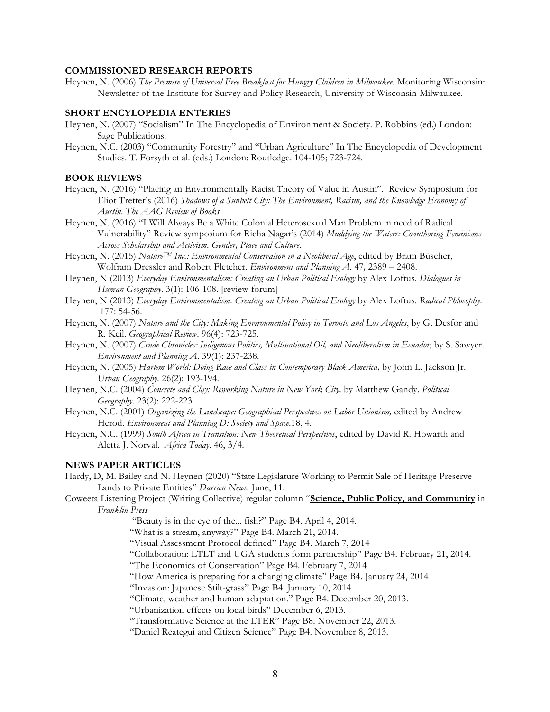#### **COMMISSIONED RESEARCH REPORTS**

Heynen, N. (2006) *The Promise of Universal Free Breakfast for Hungry Children in Milwaukee.* Monitoring Wisconsin: Newsletter of the Institute for Survey and Policy Research, University of Wisconsin-Milwaukee.

#### **SHORT ENCYLOPEDIA ENTERIES**

- Heynen, N. (2007) "Socialism" In The Encyclopedia of Environment & Society. P. Robbins (ed.) London: Sage Publications.
- Heynen, N.C. (2003) "Community Forestry" and "Urban Agriculture" In The Encyclopedia of Development Studies. T. Forsyth et al. (eds.) London: Routledge. 104-105; 723-724.

### **BOOK REVIEWS**

- Heynen, N. (2016) "Placing an Environmentally Racist Theory of Value in Austin". Review Symposium for Eliot Tretter's (2016) *Shadows of a Sunbelt City: The Environment, Racism, and the Knowledge Economy of Austin*. *The AAG Review of Books*
- Heynen, N. (2016) "I Will Always Be a White Colonial Heterosexual Man Problem in need of Radical Vulnerability" Review symposium for Richa Nagar's (2014) *Muddying the Waters: Coauthoring Feminisms Across Scholarship and Activism*. *Gender, Place and Culture*.
- Heynen, N. (2015) *NatureTM Inc.: Environmental Conservation in a Neoliberal Age*, edited by Bram Büscher, Wolfram Dressler and Robert Fletcher. *Environment and Planning A.* 47*,* 2389 – 2408.
- Heynen, N (2013) *Everyday Environmentalism: Creating an Urban Political Ecology* by Alex Loftus. *Dialogues in Human Geography*. 3(1): 106-108. [review forum]
- Heynen, N (2013) *Everyday Environmentalism: Creating an Urban Political Ecology* by Alex Loftus. *Radical Phlosophy*. 177: 54-56.
- Heynen, N. (2007) *Nature and the City: Making Environmental Policy in Toronto and Los Angeles*, by G. Desfor and R. Keil. *Geographical Review*. 96(4): 723-725.
- Heynen, N. (2007) *Crude Chronicles: Indigenous Politics, Multinational Oil, and Neoliberalism in Ecuador*, by S. Sawyer. *Environment and Planning A*. 39(1): 237-238.
- Heynen, N. (2005) *Harlem World: Doing Race and Class in Contemporary Black America*, by John L. Jackson Jr. *Urban Geography.* 26(2): 193-194.
- Heynen, N.C. (2004) *Concrete and Clay: Reworking Nature in New York City,* by Matthew Gandy. *Political Geography*. 23(2): 222-223.
- Heynen, N.C. (2001) *Organizing the Landscape: Geographical Perspectives on Labor Unionism,* edited by Andrew Herod. *Environment and Planning D: Society and Space*.18, 4.
- Heynen, N.C. (1999) *South Africa in Transition: New Theoretical Perspectives*, edited by David R. Howarth and Aletta J. Norval. *Africa Today*. 46, 3/4.

#### **NEWS PAPER ARTICLES**

Hardy, D, M. Bailey and N. Heynen (2020) "State Legislature Working to Permit Sale of Heritage Preserve Lands to Private Entities" *Darrien News.* June, 11.

Coweeta Listening Project (Writing Collective) regular column "**Science, Public Policy, and Community** in *Franklin Press*

"Beauty is in the eye of the... fish?" Page B4. April 4, 2014.

"What is a stream, anyway?" Page B4. March 21, 2014.

"Visual Assessment Protocol defined" Page B4. March 7, 2014

"Collaboration: LTLT and UGA students form partnership" Page B4. February 21, 2014.

"The Economics of Conservation" Page B4. February 7, 2014

"How America is preparing for a changing climate" Page B4. January 24, 2014

"Invasion: Japanese Stilt-grass" Page B4. January 10, 2014.

"Climate, weather and human adaptation." Page B4. December 20, 2013.

"Urbanization effects on local birds" December 6, 2013.

"Transformative Science at the LTER" Page B8. November 22, 2013.

"Daniel Reategui and Citizen Science" Page B4. November 8, 2013.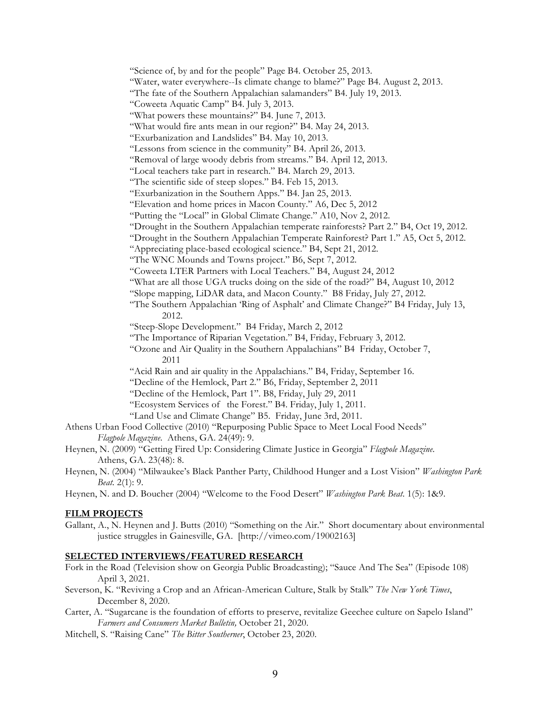"Science of, by and for the people" Page B4. October 25, 2013. "Water, water everywhere--Is climate change to blame?" Page B4. August 2, 2013. "The fate of the Southern Appalachian salamanders" B4. July 19, 2013. "Coweeta Aquatic Camp" B4. July 3, 2013. "What powers these mountains?" B4. June 7, 2013. "What would fire ants mean in our region?" B4. May 24, 2013. "Exurbanization and Landslides" B4. May 10, 2013. "Lessons from science in the community" B4. April 26, 2013. "Removal of large woody debris from streams." B4. April 12, 2013. "Local teachers take part in research." B4. March 29, 2013. "The scientific side of steep slopes." B4. Feb 15, 2013. "Exurbanization in the Southern Apps." B4. Jan 25, 2013. "Elevation and home prices in Macon County." A6, Dec 5, 2012 "Putting the "Local" in Global Climate Change." A10, Nov 2, 2012. "Drought in the Southern Appalachian temperate rainforests? Part 2." B4, Oct 19, 2012. "Drought in the Southern Appalachian Temperate Rainforest? Part 1." A5, Oct 5, 2012. "Appreciating place-based ecological science." B4, Sept 21, 2012. "The WNC Mounds and Towns project." B6, Sept 7, 2012. "Coweeta LTER Partners with Local Teachers." B4, August 24, 2012 "What are all those UGA trucks doing on the side of the road?" B4, August 10, 2012 "Slope mapping, LiDAR data, and Macon County." B8 Friday, July 27, 2012. "The Southern Appalachian 'Ring of Asphalt' and Climate Change?" B4 Friday, July 13, 2012. "Steep-Slope Development." B4 Friday, March 2, 2012 "The Importance of Riparian Vegetation." B4, Friday, February 3, 2012. "Ozone and Air Quality in the Southern Appalachians" B4 Friday, October 7, 2011 "Acid Rain and air quality in the Appalachians." B4, Friday, September 16. "Decline of the Hemlock, Part 2." B6, Friday, September 2, 2011 "Decline of the Hemlock, Part 1". B8, Friday, July 29, 2011 "Ecosystem Services of the Forest." B4. Friday, July 1, 2011. "Land Use and Climate Change" B5. Friday, June 3rd, 2011.

- Athens Urban Food Collective (2010) "Repurposing Public Space to Meet Local Food Needs" *Flagpole Magazine*. Athens, GA. 24(49): 9.
- Heynen, N. (2009) "Getting Fired Up: Considering Climate Justice in Georgia" *Flagpole Magazine*. Athens, GA. 23(48): 8.
- Heynen, N. (2004) "Milwaukee's Black Panther Party, Childhood Hunger and a Lost Vision" *Washington Park Beat.* 2(1): 9.
- Heynen, N. and D. Boucher (2004) "Welcome to the Food Desert" *Washington Park Beat*. 1(5): 1&9.

#### **FILM PROJECTS**

Gallant, A., N. Heynen and J. Butts (2010) "Something on the Air." Short documentary about environmental justice struggles in Gainesville, GA. [http://vimeo.com/19002163]

#### **SELECTED INTERVIEWS/FEATURED RESEARCH**

- Fork in the Road (Television show on Georgia Public Broadcasting); "Sauce And The Sea" (Episode 108) April 3, 2021.
- Severson, K. "Reviving a Crop and an African-American Culture, Stalk by Stalk" *The New York Times*, December 8, 2020.
- Carter, A. "Sugarcane is the foundation of efforts to preserve, revitalize Geechee culture on Sapelo Island" *Farmers and Consumers Market Bulletin,* October 21, 2020.
- Mitchell, S. "Raising Cane" *The Bitter Southerner*, October 23, 2020.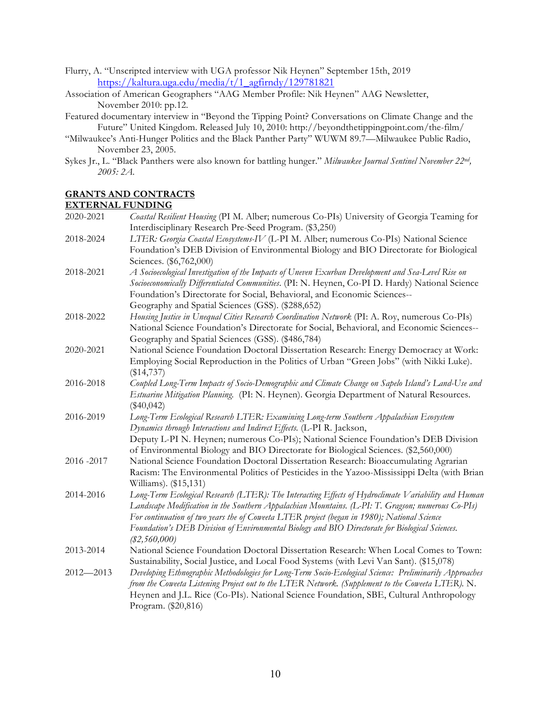- Flurry, A. "Unscripted interview with UGA professor Nik Heynen" September 15th, 2019 https://kaltura.uga.edu/media/t/1\_agfirndy/129781821
- Association of American Geographers "AAG Member Profile: Nik Heynen" AAG Newsletter, November 2010: pp.12.
- Featured documentary interview in "Beyond the Tipping Point? Conversations on Climate Change and the Future" United Kingdom. Released July 10, 2010: http://beyondthetippingpoint.com/the-film/
- "Milwaukee's Anti-Hunger Politics and the Black Panther Party" WUWM 89.7—Milwaukee Public Radio, November 23, 2005.
- Sykes Jr., L. "Black Panthers were also known for battling hunger." *Milwaukee Journal Sentinel November 22nd, 2005: 2A.*

## **GRANTS AND CONTRACTS**

#### **EXTERNAL FUNDING**

| 2020-2021     | Coastal Resilient Housing (PI M. Alber; numerous Co-PIs) University of Georgia Teaming for             |
|---------------|--------------------------------------------------------------------------------------------------------|
|               | Interdisciplinary Research Pre-Seed Program. (\$3,250)                                                 |
| 2018-2024     | LTER: Georgia Coastal Ecosystems-IV (L-PI M. Alber; numerous Co-PIs) National Science                  |
|               | Foundation's DEB Division of Environmental Biology and BIO Directorate for Biological                  |
|               | Sciences. (\$6,762,000)                                                                                |
| 2018-2021     | A Socioecological Investigation of the Impacts of Uneven Exurban Development and Sea-Level Rise on     |
|               | Socioeconomically Differentiated Communities. (PI: N. Heynen, Co-PI D. Hardy) National Science         |
|               | Foundation's Directorate for Social, Behavioral, and Economic Sciences--                               |
|               | Geography and Spatial Sciences (GSS). (\$288,652)                                                      |
| 2018-2022     | Housing Justice in Unequal Cities Research Coordination Network (PI: A. Roy, numerous Co-PIs)          |
|               | National Science Foundation's Directorate for Social, Behavioral, and Economic Sciences--              |
|               | Geography and Spatial Sciences (GSS). (\$486,784)                                                      |
| 2020-2021     | National Science Foundation Doctoral Dissertation Research: Energy Democracy at Work:                  |
|               | Employing Social Reproduction in the Politics of Urban "Green Jobs" (with Nikki Luke).                 |
|               | $(\$14,737)$                                                                                           |
| 2016-2018     | Coupled Long-Term Impacts of Socio-Demographic and Climate Change on Sapelo Island's Land-Use and      |
|               | Estuarine Mitigation Planning. (PI: N. Heynen). Georgia Department of Natural Resources.               |
|               | $(\$40,042)$                                                                                           |
| 2016-2019     | Long-Term Ecological Research LTER: Examining Long-term Southern Appalachian Ecosystem                 |
|               | Dynamics through Interactions and Indirect Effects. (L-PI R. Jackson,                                  |
|               | Deputy L-PI N. Heynen; numerous Co-PIs); National Science Foundation's DEB Division                    |
|               | of Environmental Biology and BIO Directorate for Biological Sciences. (\$2,560,000)                    |
| 2016 - 2017   | National Science Foundation Doctoral Dissertation Research: Bioaccumulating Agrarian                   |
|               | Racism: The Environmental Politics of Pesticides in the Yazoo-Mississippi Delta (with Brian            |
|               | Williams). (\$15,131)                                                                                  |
| 2014-2016     | Long-Term Ecological Research (LTER): The Interacting Effects of Hydroclimate Variability and Human    |
|               | Landscape Modification in the Southern Appalachian Mountains. (L-PI: T. Gragson; numerous Co-PIs)      |
|               | For continuation of two years the of Coweeta LTER project (began in 1980); National Science            |
|               | Foundation's DEB Division of Environmental Biology and BIO Directorate for Biological Sciences.        |
|               | $(\$2,560,000)$                                                                                        |
| 2013-2014     | National Science Foundation Doctoral Dissertation Research: When Local Comes to Town:                  |
|               | Sustainability, Social Justice, and Local Food Systems (with Levi Van Sant). (\$15,078)                |
| $2012 - 2013$ | Developing Ethnographic Methodologies for Long-Term Socio-Ecological Science: Preliminarily Approaches |
|               | from the Coweeta Listening Project out to the LTER Network. (Supplement to the Coweeta LTER). N.       |
|               | Heynen and J.L. Rice (Co-PIs). National Science Foundation, SBE, Cultural Anthropology                 |
|               | Program. (\$20,816)                                                                                    |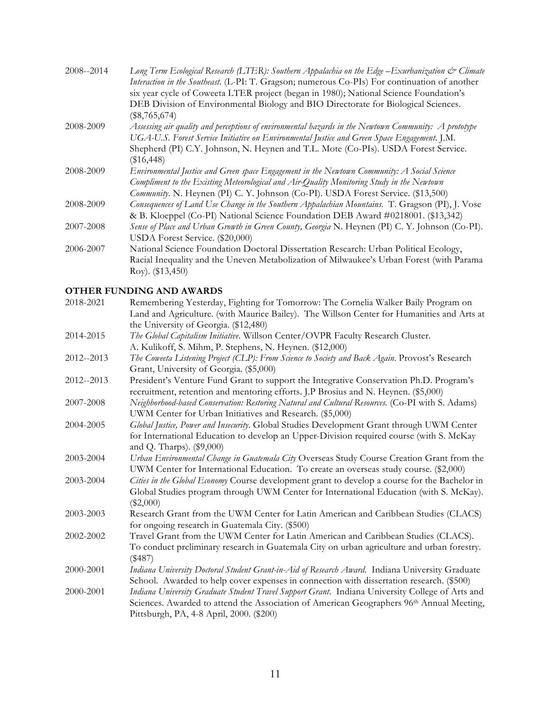| 2008--2014 | Long Term Ecological Research (LTER): Southern Appalachia on the Edge-Exurbanization & Climate<br>Interaction in the Southeast. (L-PI: T. Gragson; numerous Co-PIs) For continuation of another |
|------------|-------------------------------------------------------------------------------------------------------------------------------------------------------------------------------------------------|
|            | six year cycle of Coweeta LTER project (began in 1980); National Science Foundation's                                                                                                           |
|            | DEB Division of Environmental Biology and BIO Directorate for Biological Sciences.                                                                                                              |
|            | $(\$8,765,674)$                                                                                                                                                                                 |
| 2008-2009  | Assessing air quality and perceptions of environmental hazards in the Newtown Community: A prototype                                                                                            |
|            | UGA-U.S. Forest Service Initiative on Environmental Justice and Green Space Engagement. J.M.                                                                                                    |
|            | Shepherd (PI) C.Y. Johnson, N. Heynen and T.L. Mote (Co-PIs). USDA Forest Service.                                                                                                              |
|            | $(\$16,448)$                                                                                                                                                                                    |
| 2008-2009  | Environmental Justice and Green space Engagement in the Newtown Community: A Social Science                                                                                                     |
|            | Compliment to the Existing Meteorological and Air-Quality Monitoring Study in the Newtown                                                                                                       |
|            | Community. N. Heynen (PI) C. Y. Johnson (Co-PI). USDA Forest Service. (\$13,500)                                                                                                                |
| 2008-2009  | Consequences of Land Use Change in the Southern Appalachian Mountains. T. Gragson (PI), J. Vose                                                                                                 |
|            | & B. Kloeppel (Co-PI) National Science Foundation DEB Award #0218001. (\$13,342)                                                                                                                |
| 2007-2008  | Sense of Place and Urban Growth in Green County, Georgia N. Heynen (PI) C. Y. Johnson (Co-PI).                                                                                                  |
|            | USDA Forest Service. (\$20,000)                                                                                                                                                                 |
| 2006-2007  | National Science Foundation Doctoral Dissertation Research: Urban Political Ecology,                                                                                                            |
|            | Racial Inequality and the Uneven Metabolization of Milwaukee's Urban Forest (with Parama                                                                                                        |
|            | $Roy.$ (\$13,450)                                                                                                                                                                               |
|            |                                                                                                                                                                                                 |

# **OTHER FUNDING AND AWARDS**

| 2018-2021  | Remembering Yesterday, Fighting for Tomorrow: The Cornelia Walker Baily Program on               |
|------------|--------------------------------------------------------------------------------------------------|
|            | Land and Agriculture. (with Maurice Bailey). The Willson Center for Humanities and Arts at       |
|            | the University of Georgia. (\$12,480)                                                            |
| 2014-2015  | The Global Capitalism Initiative. Willson Center/OVPR Faculty Research Cluster.                  |
|            | A. Kulikoff, S. Mihm, P. Stephens, N. Heynen. (\$12,000)                                         |
| 2012--2013 | The Coweeta Listening Project (CLP): From Science to Society and Back Again. Provost's Research  |
|            | Grant, University of Georgia. (\$5,000)                                                          |
| 2012--2013 | President's Venture Fund Grant to support the Integrative Conservation Ph.D. Program's           |
|            | recruitment, retention and mentoring efforts. J.P Brosius and N. Heynen. (\$5,000)               |
| 2007-2008  | Neighborhood-based Conservation: Restoring Natural and Cultural Resources. (Co-PI with S. Adams) |
|            | UWM Center for Urban Initiatives and Research. (\$5,000)                                         |
| 2004-2005  | Global Justice, Power and Insecurity. Global Studies Development Grant through UWM Center        |
|            | for International Education to develop an Upper-Division required course (with S. McKay          |
|            | and Q. Tharps). (\$9,000)                                                                        |
| 2003-2004  | Urban Environmental Change in Guatemala City Overseas Study Course Creation Grant from the       |
|            | UWM Center for International Education. To create an overseas study course. (\$2,000)            |
| 2003-2004  | Cities in the Global Economy Course development grant to develop a course for the Bachelor in    |
|            | Global Studies program through UWM Center for International Education (with S. McKay).           |
|            | $(\$2,000)$                                                                                      |
| 2003-2003  | Research Grant from the UWM Center for Latin American and Caribbean Studies (CLACS)              |
|            | for ongoing research in Guatemala City. (\$500)                                                  |
| 2002-2002  | Travel Grant from the UWM Center for Latin American and Caribbean Studies (CLACS).               |
|            | To conduct preliminary research in Guatemala City on urban agriculture and urban forestry.       |
|            | (\$487)                                                                                          |
| 2000-2001  | Indiana University Doctoral Student Grant-in-Aid of Research Award. Indiana University Graduate  |
|            | School. Awarded to help cover expenses in connection with dissertation research. (\$500)         |
| 2000-2001  | Indiana University Graduate Student Travel Support Grant. Indiana University College of Arts and |
|            | Sciences. Awarded to attend the Association of American Geographers 96th Annual Meeting,         |
|            | Pittsburgh, PA, 4-8 April, 2000. (\$200)                                                         |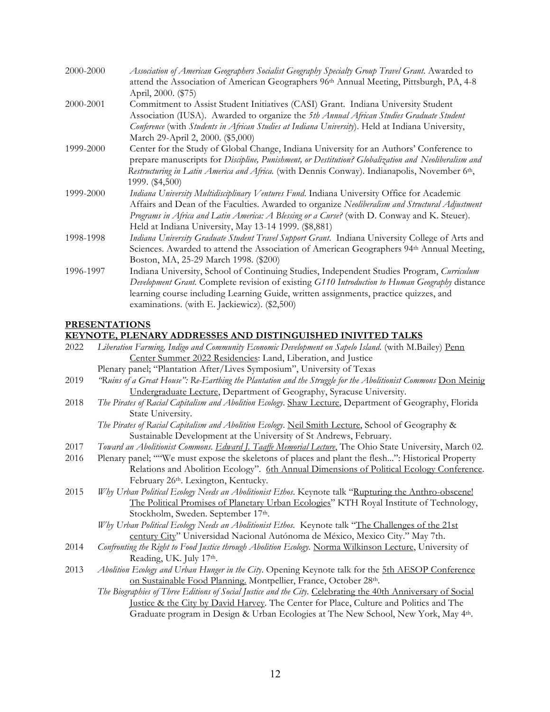| 2000-2000 | Association of American Geographers Socialist Geography Specialty Group Travel Grant. Awarded to               |
|-----------|----------------------------------------------------------------------------------------------------------------|
|           | attend the Association of American Geographers 96th Annual Meeting, Pittsburgh, PA, 4-8<br>April, 2000. (\$75) |
| 2000-2001 | Commitment to Assist Student Initiatives (CASI) Grant. Indiana University Student                              |
|           | Association (IUSA). Awarded to organize the 5th Annual African Studies Graduate Student                        |
|           | Conference (with Students in African Studies at Indiana University). Held at Indiana University,               |
|           | March 29-April 2, 2000. (\$5,000)                                                                              |
| 1999-2000 | Center for the Study of Global Change, Indiana University for an Authors' Conference to                        |
|           | prepare manuscripts for Discipline, Punishment, or Destitution? Globalization and Neoliberalism and            |
|           | Restructuring in Latin America and Africa. (with Dennis Conway). Indianapolis, November 6th,                   |
|           | 1999. (\$4,500)                                                                                                |
| 1999-2000 | Indiana University Multidisciplinary Ventures Fund. Indiana University Office for Academic                     |
|           | Affairs and Dean of the Faculties. Awarded to organize Neoliberalism and Structural Adjustment                 |
|           | Programs in Africa and Latin America: A Blessing or a Curse? (with D. Conway and K. Steuer).                   |
|           | Held at Indiana University, May 13-14 1999. (\$8,881)                                                          |
| 1998-1998 | Indiana University Graduate Student Travel Support Grant. Indiana University College of Arts and               |
|           | Sciences. Awarded to attend the Association of American Geographers 94th Annual Meeting,                       |
|           | Boston, MA, 25-29 March 1998. (\$200)                                                                          |
| 1996-1997 | Indiana University, School of Continuing Studies, Independent Studies Program, Curriculum                      |
|           | Development Grant. Complete revision of existing G110 Introduction to Human Geography distance                 |
|           | learning course including Learning Guide, written assignments, practice quizzes, and                           |
|           | examinations. (with E. Jackiewicz). (\$2,500)                                                                  |

## **PRESENTATIONS**

### **KEYNOTE, PLENARY ADDRESSES AND DISTINGUISHED INIVITED TALKS**

| 2022 | Liberation Farming, Indigo and Community Economic Development on Sapelo Island. (with M.Bailey) Penn          |
|------|---------------------------------------------------------------------------------------------------------------|
|      | Center Summer 2022 Residencies: Land, Liberation, and Justice                                                 |
|      | Plenary panel; "Plantation After/Lives Symposium", University of Texas                                        |
| 2019 | "Ruins of a Great House": Re-Earthing the Plantation and the Struggle for the Abolitionist Commons Don Meinig |
|      | Undergraduate Lecture, Department of Geography, Syracuse University.                                          |
| 2018 | The Pirates of Racial Capitalism and Abolition Ecology. Shaw Lecture, Department of Geography, Florida        |
|      | State University.                                                                                             |
|      | The Pirates of Racial Capitalism and Abolition Ecology. Neil Smith Lecture, School of Geography &             |
|      | Sustainable Development at the University of St Andrews, February.                                            |
| 2017 | Toward an Abolitionist Commons. Edward J. Taaffe Memorial Lecture, The Ohio State University, March 02.       |
| 2016 | Plenary panel; ""We must expose the skeletons of places and plant the flesh": Historical Property             |
|      | Relations and Abolition Ecology". 6th Annual Dimensions of Political Ecology Conference.                      |
|      | February 26th. Lexington, Kentucky.                                                                           |
| 2015 | Why Urban Political Ecology Needs an Abolitionist Ethos. Keynote talk "Rupturing the Anthro-obscene!          |
|      | The Political Promises of Planetary Urban Ecologies" KTH Royal Institute of Technology,                       |
|      | Stockholm, Sweden. September 17th.                                                                            |
|      | Why Urban Political Ecology Needs an Abolitionist Ethos. Keynote talk "The Challenges of the 21st             |
|      | century City" Universidad Nacional Autónoma de México, Mexico City." May 7th.                                 |
| 2014 | Confronting the Right to Food Justice through Abolition Ecology. Norma Wilkinson Lecture, University of       |
|      | Reading, UK. July 17th.                                                                                       |
| 2013 | Abolition Ecology and Urban Hunger in the City. Opening Keynote talk for the 5th AESOP Conference             |
|      | on Sustainable Food Planning. Montpellier, France, October 28th.                                              |
|      | The Biographies of Three Editions of Social Justice and the City. Celebrating the 40th Anniversary of Social  |
|      | Justice & the City by David Harvey. The Center for Place, Culture and Politics and The                        |
|      | Graduate program in Design & Urban Ecologies at The New School, New York, May 4th.                            |
|      |                                                                                                               |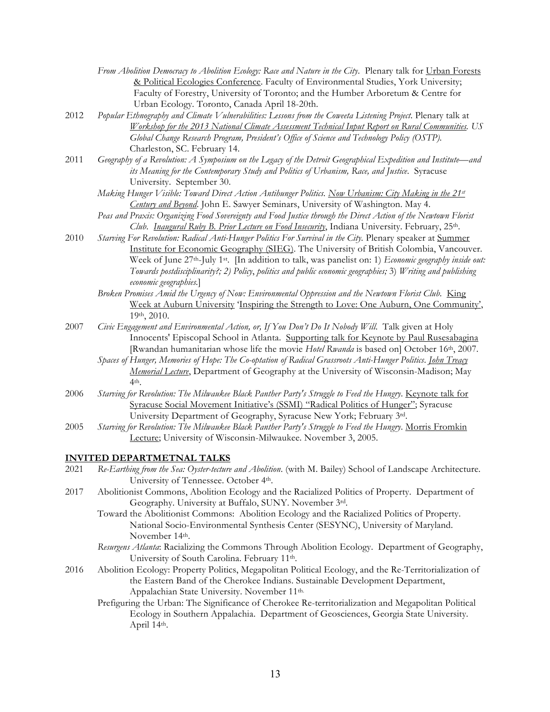| From Abolition Democracy to Abolition Ecology: Race and Nature in the City. Plenary talk for Urban Forests |
|------------------------------------------------------------------------------------------------------------|
| & Political Ecologies Conference. Faculty of Environmental Studies, York University;                       |
| Faculty of Forestry, University of Toronto; and the Humber Arboretum & Centre for                          |
| Urban Ecology. Toronto, Canada April 18-20th.                                                              |

- 2012 *Popular Ethnography and Climate Vulnerabilities: Lessons from the Coweeta Listening Project*. Plenary talk at *Workshop for the 2013 National Climate Assessment Technical Input Report on Rural Communities. US Global Change Research Program, President's Office of Science and Technology Policy (OSTP).*  Charleston, SC. February 14.
- 2011 *Geography of a Revolution: A Symposium on the Legacy of the Detroit Geographical Expedition and Institute—and its Meaning for the Contemporary Study and Politics of Urbanism, Race, and Justice*. Syracuse University. September 30.
	- *Making Hunger Visible: Toward Direct Action Antihunger Politics. Now Urbanism: City Making in the 21st Century and Beyond*. John E. Sawyer Seminars, University of Washington. May 4.
	- *Peas and Praxis: Organizing Food Sovereignty and Food Justice through the Direct Action of the Newtown Florist Club*. *Inaugural Ruby B. Prior Lecture on Food Insecurity*, Indiana University. February, 25th.
- 2010 *Starving For Revolution: Radical Anti-Hunger Politics For Survival in the City.* Plenary speaker at Summer Institute for Economic Geography (SIEG). The University of British Colombia, Vancouver. Week of June 27<sup>th</sup>-July 1<sup>st</sup>. [In addition to talk, was panelist on: 1) *Economic geography inside out: Towards postdisciplinarity?; 2) Policy*, *politics and public economic geographies;* 3) *Writing and publishing economic geographies.*]
	- *Broken Promises Amid the Urgency of Now: Environmental Oppression and the Newtown Florist Club*. King Week at Auburn University 'Inspiring the Strength to Love: One Auburn, One Community', 19th, 2010.
- 2007 *Civic Engagement and Environmental Action, or, If You Don't Do It Nobody Will*. Talk given at Holy Innocents' Episcopal School in Atlanta. Supporting talk for Keynote by Paul Rusesabagina [Rwandan humanitarian whose life the movie *Hotel Rwanda* is based on] October 16th, 2007.
	- *Spaces of Hunger, Memories of Hope: The Co-optation of Radical Grassroots Anti-Hunger Politics*. *John Treacy Memorial Lecture*, Department of Geography at the University of Wisconsin-Madison; May 4th.
- 2006 *Starving for Revolution: The Milwaukee Black Panther Party's Struggle to Feed the Hungry*. Keynote talk for Syracuse Social Movement Initiative's (SSMI) "Radical Politics of Hunger"; Syracuse University Department of Geography, Syracuse New York; February 3rd.
- 2005 *Starving for Revolution: The Milwaukee Black Panther Party's Struggle to Feed the Hungry*. Morris Fromkin Lecture; University of Wisconsin-Milwaukee. November 3, 2005.

#### **INVITED DEPARTMETNAL TALKS**

- 2021 *Re-Earthing from the Sea: Oyster-tecture and Abolition*. (with M. Bailey) School of Landscape Architecture. University of Tennessee. October 4th.
- 2017 Abolitionist Commons, Abolition Ecology and the Racialized Politics of Property. Department of Geography. University at Buffalo, SUNY. November 3rd.
	- Toward the Abolitionist Commons: Abolition Ecology and the Racialized Politics of Property. National Socio-Environmental Synthesis Center (SESYNC), University of Maryland. November 14th.
	- *Resurgens Atlanta*: Racializing the Commons Through Abolition Ecology. Department of Geography, University of South Carolina. February 11th.
- 2016 Abolition Ecology: Property Politics, Megapolitan Political Ecology, and the Re-Territorialization of the Eastern Band of the Cherokee Indians. Sustainable Development Department, Appalachian State University. November 11th.
	- Prefiguring the Urban: The Significance of Cherokee Re-territorialization and Megapolitan Political Ecology in Southern Appalachia. Department of Geosciences, Georgia State University. April 14th.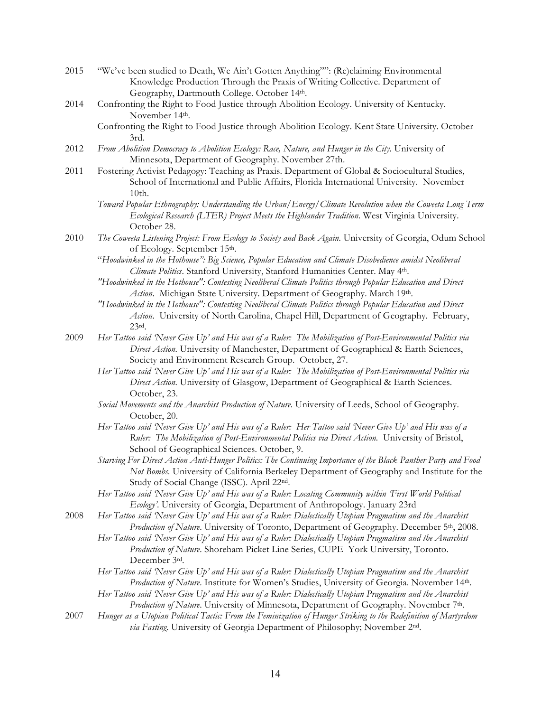- 2015 "We've been studied to Death, We Ain't Gotten Anything"": (Re)claiming Environmental Knowledge Production Through the Praxis of Writing Collective. Department of Geography, Dartmouth College. October 14th.
- 2014 Confronting the Right to Food Justice through Abolition Ecology. University of Kentucky. November 14th.
	- Confronting the Right to Food Justice through Abolition Ecology. Kent State University. October 3rd.
- 2012 *From Abolition Democracy to Abolition Ecology: Race, Nature, and Hunger in the City.* University of Minnesota, Department of Geography. November 27th.
- 2011 Fostering Activist Pedagogy: Teaching as Praxis. Department of Global & Sociocultural Studies, School of International and Public Affairs, Florida International University. November 10th.
	- *Toward Popular Ethnography: Understanding the Urban/Energy/Climate Revolution when the Coweeta Long Term Ecological Research (LTER) Project Meets the Highlander Tradition*. West Virginia University. October 28.
- 2010 *The Coweeta Listening Project: From Ecology to Society and Back Again.* University of Georgia, Odum School of Ecology. September 15th.
	- "*Hoodwinked in the Hothouse": Big Science, Popular Education and Climate Disobedience amidst Neoliberal Climate Politics*. Stanford University, Stanford Humanities Center. May 4th.
	- *"Hoodwinked in the Hothouse": Contesting Neoliberal Climate Politics through Popular Education and Direct*  Action. Michigan State University. Department of Geography. March 19th.
	- *"Hoodwinked in the Hothouse": Contesting Neoliberal Climate Politics through Popular Education and Direct Action*. University of North Carolina, Chapel Hill, Department of Geography. February, 23rd.
- 2009 *Her Tattoo said 'Never Give Up' and His was of a Ruler: The Mobilization of Post-Environmental Politics via Direct Action.* University of Manchester, Department of Geographical & Earth Sciences, Society and Environment Research Group. October, 27.
	- *Her Tattoo said 'Never Give Up' and His was of a Ruler: The Mobilization of Post-Environmental Politics via Direct Action.* University of Glasgow, Department of Geographical & Earth Sciences. October, 23.
	- *Social Movements and the Anarchist Production of Nature.* University of Leeds, School of Geography. October, 20.
	- *Her Tattoo said 'Never Give Up' and His was of a Ruler: Her Tattoo said 'Never Give Up' and His was of a Ruler: The Mobilization of Post-Environmental Politics via Direct Action.* University of Bristol, School of Geographical Sciences. October, 9.
	- *Starving For Direct Action Anti-Hunger Politics: The Continuing Importance of the Black Panther Party and Food Not Bombs.* University of California Berkeley Department of Geography and Institute for the Study of Social Change (ISSC). April 22nd.
	- *Her Tattoo said 'Never Give Up' and His was of a Ruler: Locating Community within 'First World Political Ecology'*. University of Georgia, Department of Anthropology. January 23rd
- 2008 *Her Tattoo said 'Never Give Up' and His was of a Ruler: Dialectically Utopian Pragmatism and the Anarchist Production of Nature*. University of Toronto, Department of Geography. December 5th, 2008.
	- *Her Tattoo said 'Never Give Up' and His was of a Ruler: Dialectically Utopian Pragmatism and the Anarchist Production of Nature*. Shoreham Picket Line Series, CUPE York University, Toronto. December 3rd.
	- *Her Tattoo said 'Never Give Up' and His was of a Ruler: Dialectically Utopian Pragmatism and the Anarchist Production of Nature*. Institute for Women's Studies, University of Georgia. November 14th.
	- *Her Tattoo said 'Never Give Up' and His was of a Ruler: Dialectically Utopian Pragmatism and the Anarchist Production of Nature*. University of Minnesota, Department of Geography. November 7th.
- 2007 *Hunger as a Utopian Political Tactic: From the Feminization of Hunger Striking to the Redefinition of Martyrdom via Fasting*. University of Georgia Department of Philosophy; November 2nd.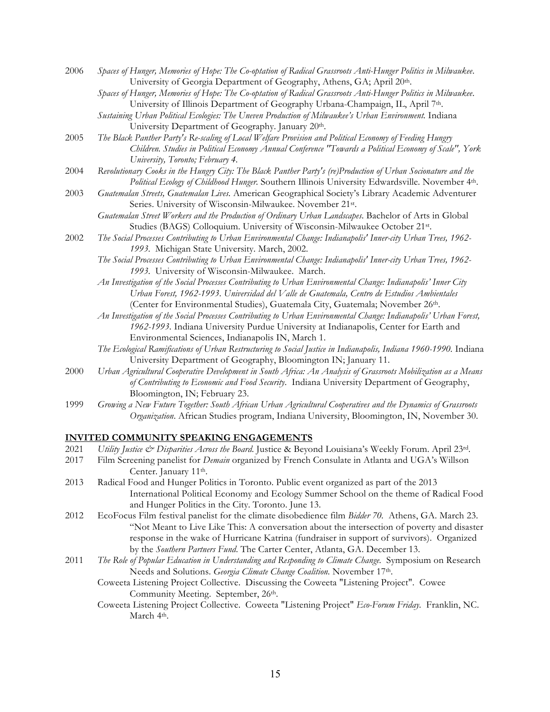- 2006 *Spaces of Hunger, Memories of Hope: The Co-optation of Radical Grassroots Anti-Hunger Politics in Milwaukee*. University of Georgia Department of Geography, Athens, GA; April 20th.
	- *Spaces of Hunger, Memories of Hope: The Co-optation of Radical Grassroots Anti-Hunger Politics in Milwaukee*. University of Illinois Department of Geography Urbana-Champaign, IL, April 7th.
	- *Sustaining Urban Political Ecologies: The Uneven Production of Milwaukee's Urban Environment.* Indiana University Department of Geography. January 20<sup>th</sup>.
- 2005 *The Black Panther Party's Re-scaling of Local Welfare Provision and Political Economy of Feeding Hungry Children. Studies in Political Economy Annual Conference "Towards a Political Economy of Scale", York University, Toronto; February 4.*
- 2004 *Revolutionary Cooks in the Hungry City: The Black Panther Party's (re)Production of Urban Socionature and the Political Ecology of Childhood Hunger.* Southern Illinois University Edwardsville. November 4th.
- 2003 *Guatemalan Streets, Guatemalan Lives.* American Geographical Society's Library Academic Adventurer Series. University of Wisconsin-Milwaukee. November 21st.
	- *Guatemalan Street Workers and the Production of Ordinary Urban Landscapes*. Bachelor of Arts in Global Studies (BAGS) Colloquium. University of Wisconsin-Milwaukee October 21st.
- 2002 *The Social Processes Contributing to Urban Environmental Change: Indianapolis' Inner-city Urban Trees, 1962- 1993.* Michigan State University. March, 2002.
	- *The Social Processes Contributing to Urban Environmental Change: Indianapolis' Inner-city Urban Trees, 1962- 1993.* University of Wisconsin-Milwaukee. March.
	- *An Investigation of the Social Processes Contributing to Urban Environmental Change: Indianapolis' Inner City Urban Forest, 1962-1993*. *Universidad del Valle de Guatemala, Centro de Estudios Ambientales* (Center for Environmental Studies), Guatemala City, Guatemala; November 26th.
	- *An Investigation of the Social Processes Contributing to Urban Environmental Change: Indianapolis' Urban Forest, 1962-1993.* Indiana University Purdue University at Indianapolis, Center for Earth and Environmental Sciences, Indianapolis IN, March 1.
	- *The Ecological Ramifications of Urban Restructuring to Social Justice in Indianapolis, Indiana 1960-1990.* Indiana University Department of Geography, Bloomington IN; January 11.
- 2000 *Urban Agricultural Cooperative Development in South Africa: An Analysis of Grassroots Mobilization as a Means of Contributing to Economic and Food Security*. Indiana University Department of Geography, Bloomington, IN; February 23.
- 1999 *Growing a New Future Together: South African Urban Agricultural Cooperatives and the Dynamics of Grassroots Organization*. African Studies program, Indiana University, Bloomington, IN, November 30.

## **INVITED COMMUNITY SPEAKING ENGAGEMENTS**

- 2021 *Utility Justice & Disparities Across the Board*. Justice & Beyond Louisiana's Weekly Forum. April 23rd.
- 2017 Film Screening panelist for *Demain* organized by French Consulate in Atlanta and UGA's Willson Center. January 11th.
- 2013 Radical Food and Hunger Politics in Toronto. Public event organized as part of the 2013 International Political Economy and Ecology Summer School on the theme of Radical Food and Hunger Politics in the City. Toronto. June 13.
- 2012 EcoFocus Film festival panelist for the climate disobedience film *Bidder 70.* Athens, GA. March 23. "Not Meant to Live Like This: A conversation about the intersection of poverty and disaster response in the wake of Hurricane Katrina (fundraiser in support of survivors). Organized by the *Southern Partners Fund*. The Carter Center, Atlanta, GA. December 13.
- 2011 *The Role of Popular Education in Understanding and Responding to Climate Change.* Symposium on Research Needs and Solutions. *Georgia Climate Change Coalition.* November 17th.
	- Coweeta Listening Project Collective. Discussing the Coweeta "Listening Project". Cowee Community Meeting. September, 26th.
	- Coweeta Listening Project Collective. Coweeta "Listening Project" *Eco-Forum Friday.* Franklin, NC. March 4<sup>th</sup>.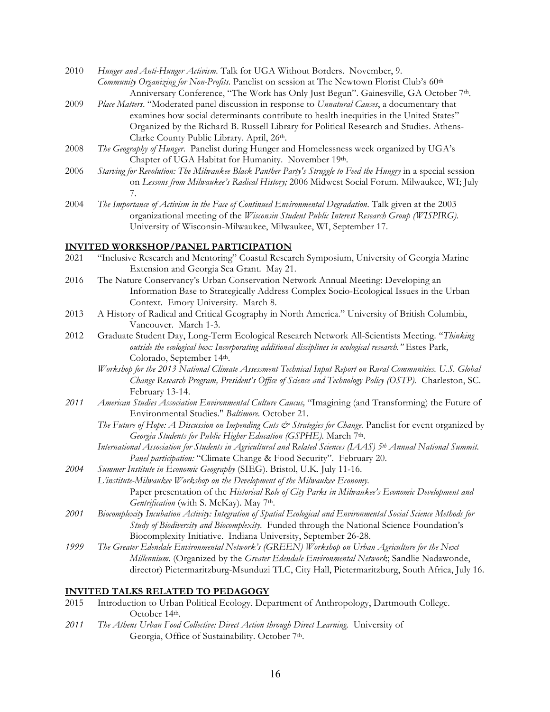- 2010 *Hunger and Anti-Hunger Activism.* Talk for UGA Without Borders. November, 9. *Community Organizing for Non-Profits.* Panelist on session at The Newtown Florist Club's 60th Anniversary Conference, "The Work has Only Just Begun". Gainesville, GA October 7th.
- 2009 *Place Matters*. "Moderated panel discussion in response to *Unnatural Causes*, a documentary that examines how social determinants contribute to health inequities in the United States" Organized by the Richard B. Russell Library for Political Research and Studies. Athens-Clarke County Public Library. April, 26th.
- 2008 *The Geography of Hunger*. Panelist during Hunger and Homelessness week organized by UGA's Chapter of UGA Habitat for Humanity. November 19th.
- 2006 *Starving for Revolution: The Milwaukee Black Panther Party's Struggle to Feed the Hungry* in a special session on *Lessons from Milwaukee's Radical History;* 2006 Midwest Social Forum. Milwaukee, WI; July 7.
- 2004 *The Importance of Activism in the Face of Continued Environmental Degradation*. Talk given at the 2003 organizational meeting of the *Wisconsin Student Public Interest Research Group (WISPIRG)*. University of Wisconsin-Milwaukee, Milwaukee, WI, September 17.

## **INVITED WORKSHOP/PANEL PARTICIPATION**

- 2021 "Inclusive Research and Mentoring" Coastal Research Symposium, University of Georgia Marine Extension and Georgia Sea Grant. May 21.
- 2016 The Nature Conservancy's Urban Conservation Network Annual Meeting: Developing an Information Base to Strategically Address Complex Socio-Ecological Issues in the Urban Context. Emory University. March 8.
- 2013 A History of Radical and Critical Geography in North America." University of British Columbia, Vancouver. March 1-3.
- 2012 Graduate Student Day, Long-Term Ecological Research Network All-Scientists Meeting. "*Thinking outside the ecological box: Incorporating additional disciplines in ecological research."* Estes Park, Colorado, September 14th.
	- *Workshop for the 2013 National Climate Assessment Technical Input Report on Rural Communities. U.S. Global Change Research Program, President's Office of Science and Technology Policy (OSTP).* Charleston, SC. February 13-14.
- *2011 American Studies Association Environmental Culture Caucus,* "Imagining (and Transforming) the Future of Environmental Studies." *Baltimore.* October 21.
	- *The Future of Hope: A Discussion on Impending Cuts & Strategies for Change.* Panelist for event organized by *Georgia Students for Public Higher Education (GSPHE).* March 7th.
	- *International Association for Students in Agricultural and Related Sciences (IAAS) 5th Annual National Summit. Panel participation:* "Climate Change & Food Security". February 20.
- *2004 Summer Institute in Economic Geography* (SIEG). Bristol, U.K. July 11-16. *L'institute-Milwaukee Workshop on the Development of the Milwaukee Economy.* Paper presentation of the *Historical Role of City Parks in Milwaukee's Economic Development and Gentrification* (with S. McKay)*.* May 7th.
- *2001 Biocomplexity Incubation Activity: Integration of Spatial Ecological and Environmental Social Science Methods for Study of Biodiversity and Biocomplexity*. Funded through the National Science Foundation's Biocomplexity Initiative. Indiana University, September 26-28.
- *1999 The Greater Edendale Environmental Network's (GREEN) Workshop on Urban Agriculture for the Next Millennium*. (Organized by the *Greater Edendale Environmental Network*; Sandlie Nadawonde, director) Pietermaritzburg-Msunduzi TLC, City Hall, Pietermaritzburg, South Africa, July 16.

#### **INVITED TALKS RELATED TO PEDAGOGY**

- 2015 Introduction to Urban Political Ecology. Department of Anthropology, Dartmouth College. October 14th.
- *2011 The Athens Urban Food Collective: Direct Action through Direct Learning.* University of Georgia, Office of Sustainability. October 7th.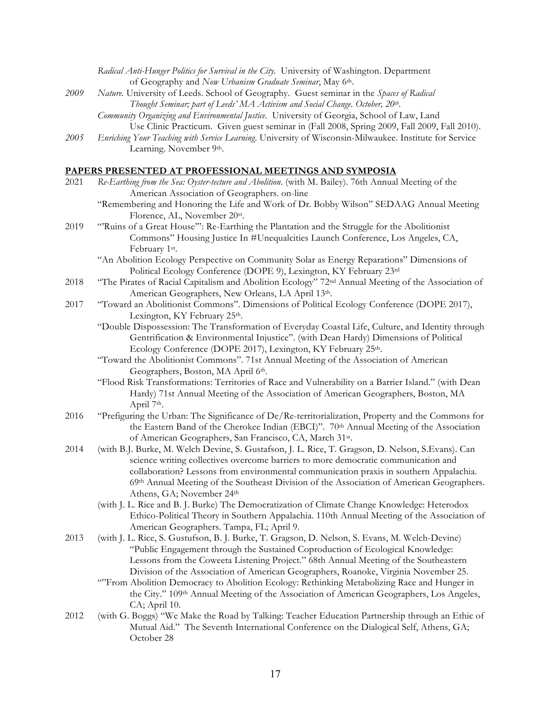|      | of Geography and Now Urbanism Graduate Seminar, May 6th.                                                       |
|------|----------------------------------------------------------------------------------------------------------------|
| 2009 | Nature. University of Leeds. School of Geography. Guest seminar in the Spaces of Radical                       |
|      | Thought Seminar; part of Leeds' MA Activism and Social Change. October, 20 <sup>th</sup> .                     |
|      | Community Organizing and Environmental Justice. University of Georgia, School of Law, Land                     |
|      | Use Clinic Practicum. Given guest seminar in (Fall 2008, Spring 2009, Fall 2009, Fall 2010).                   |
| 2005 | Enriching Your Teaching with Service Learning. University of Wisconsin-Milwaukee. Institute for Service        |
|      | Learning. November 9th.                                                                                        |
|      |                                                                                                                |
|      | <b>PAPERS PRESENTED AT PROFESSIONAL MEETINGS AND SYMPOSIA</b>                                                  |
| 2021 | Re-Earthing from the Sea: Oyster-tecture and Abolition. (with M. Bailey). 76th Annual Meeting of the           |
|      | American Association of Geographers. on-line                                                                   |
|      | "Remembering and Honoring the Life and Work of Dr. Bobby Wilson" SEDAAG Annual Meeting                         |
|      | Florence, AL, November 20st.                                                                                   |
| 2019 | "Ruins of a Great House": Re-Earthing the Plantation and the Struggle for the Abolitionist                     |
|      | Commons" Housing Justice In #Unequalcities Launch Conference, Los Angeles, CA,                                 |
|      | February 1st.                                                                                                  |
|      | "An Abolition Ecology Perspective on Community Solar as Energy Reparations" Dimensions of                      |
|      | Political Ecology Conference (DOPE 9), Lexington, KY February 23rd                                             |
| 2018 | "The Pirates of Racial Capitalism and Abolition Ecology" 72 <sup>nd</sup> Annual Meeting of the Association of |
|      |                                                                                                                |
|      | American Geographers, New Orleans, LA April 13th.                                                              |
| 2017 | "Toward an Abolitionist Commons". Dimensions of Political Ecology Conference (DOPE 2017),                      |
|      | Lexington, KY February 25th.                                                                                   |
|      | "Double Dispossession: The Transformation of Everyday Coastal Life, Culture, and Identity through              |
|      | Gentrification & Environmental Injustice". (with Dean Hardy) Dimensions of Political                           |
|      | Ecology Conference (DOPE 2017), Lexington, KY February 25th.                                                   |
|      | "Toward the Abolitionist Commons". 71st Annual Meeting of the Association of American                          |
|      | Geographers, Boston, MA April 6th.                                                                             |
|      | "Flood Risk Transformations: Territories of Race and Vulnerability on a Barrier Island." (with Dean            |
|      | Hardy) 71st Annual Meeting of the Association of American Geographers, Boston, MA<br>April 7th.                |
| 2016 | "Prefiguring the Urban: The Significance of De/Re-territorialization, Property and the Commons for             |
|      | the Eastern Band of the Cherokee Indian (EBCI)". 70th Annual Meeting of the Association                        |
|      | of American Geographers, San Francisco, CA, March 31st.                                                        |
| 2014 | (with B.J. Burke, M. Welch Devine, S. Gustafson, J. L. Rice, T. Gragson, D. Nelson, S.Evans). Can              |
|      | science writing collectives overcome barriers to more democratic communication and                             |
|      | collaboration? Lessons from environmental communication praxis in southern Appalachia.                         |
|      | 69th Annual Meeting of the Southeast Division of the Association of American Geographers.                      |
|      | Athens, GA; November 24th                                                                                      |
|      | (with J. L. Rice and B. J. Burke) The Democratization of Climate Change Knowledge: Heterodox                   |
|      | Ethico-Political Theory in Southern Appalachia. 110th Annual Meeting of the Association of                     |
|      | American Geographers. Tampa, FL; April 9.                                                                      |
| 2013 | (with J. L. Rice, S. Gustufson, B. J. Burke, T. Gragson, D. Nelson, S. Evans, M. Welch-Devine)                 |
|      | "Public Engagement through the Sustained Coproduction of Ecological Knowledge:                                 |
|      | Lessons from the Coweeta Listening Project." 68th Annual Meeting of the Southeastern                           |
|      | Division of the Association of American Geographers, Roanoke, Virginia November 25.                            |
|      | "'From Abolition Democracy to Abolition Ecology: Rethinking Metabolizing Race and Hunger in                    |
|      | the City." 109 <sup>th</sup> Annual Meeting of the Association of American Geographers, Los Angeles,           |
|      | CA; April 10.                                                                                                  |
| 2012 | (with G. Boggs) "We Make the Road by Talking: Teacher Education Partnership through an Ethic of                |
|      | Mutual Aid." The Seventh International Conference on the Dialogical Self, Athens, GA;                          |
|      | October 28                                                                                                     |

*Radical Anti-Hunger Politics for Survival in the City.* University of Washington. Department

17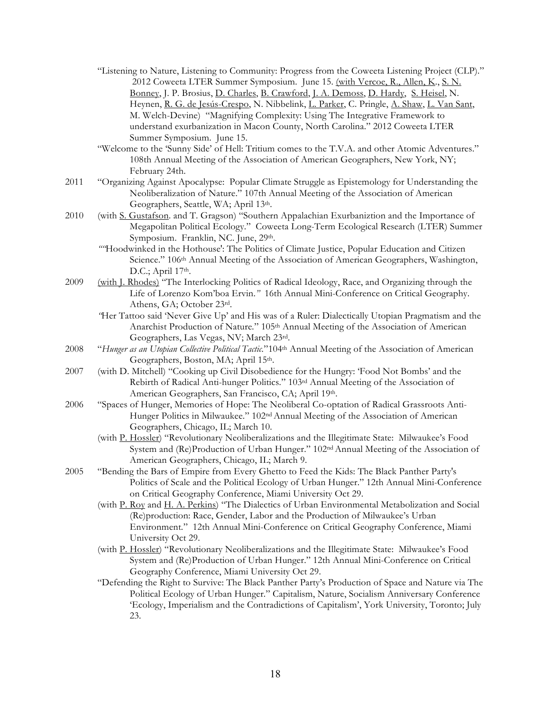- "Listening to Nature, Listening to Community: Progress from the Coweeta Listening Project (CLP)." 2012 Coweeta LTER Summer Symposium. June 15. (with Vercoe, R., Allen, K., S. N. Bonney, J. P. Brosius, D. Charles, B. Crawford, J. A. Demoss, D. Hardy, S. Heisel, N. Heynen, R. G. de Jesús-Crespo, N. Nibbelink, L. Parker, C. Pringle, A. Shaw, L. Van Sant, M. Welch-Devine) "Magnifying Complexity: Using The Integrative Framework to understand exurbanization in Macon County, North Carolina." 2012 Coweeta LTER Summer Symposium. June 15.
- "Welcome to the 'Sunny Side' of Hell: Tritium comes to the T.V.A. and other Atomic Adventures." 108th Annual Meeting of the Association of American Geographers, New York, NY; February 24th.
- 2011 "Organizing Against Apocalypse: Popular Climate Struggle as Epistemology for Understanding the Neoliberalization of Nature." 107th Annual Meeting of the Association of American Geographers, Seattle, WA; April 13th.
- 2010 (with S. Gustafson. and T. Gragson) "Southern Appalachian Exurbaniztion and the Importance of Megapolitan Political Ecology." Coweeta Long-Term Ecological Research (LTER) Summer Symposium. Franklin, NC. June, 29th.
	- *""*Hoodwinked in the Hothouse': The Politics of Climate Justice, Popular Education and Citizen Science." 106<sup>th</sup> Annual Meeting of the Association of American Geographers, Washington, D.C.; April 17th.
- 2009 (with J. Rhodes) "The Interlocking Politics of Radical Ideology, Race, and Organizing through the Life of Lorenzo Kom'boa Ervin.*"* 16th Annual Mini-Conference on Critical Geography. Athens, GA; October 23rd.
	- *"*Her Tattoo said 'Never Give Up' and His was of a Ruler: Dialectically Utopian Pragmatism and the Anarchist Production of Nature*.*" 105th Annual Meeting of the Association of American Geographers, Las Vegas, NV; March 23rd.
- 2008 "*Hunger as an Utopian Collective Political Tactic.*"104th Annual Meeting of the Association of American Geographers, Boston, MA; April 15th.
- 2007 (with D. Mitchell) "Cooking up Civil Disobedience for the Hungry: 'Food Not Bombs' and the Rebirth of Radical Anti-hunger Politics*.*" 103rd Annual Meeting of the Association of American Geographers, San Francisco, CA; April 19th.
- 2006 "Spaces of Hunger, Memories of Hope: The Neoliberal Co-optation of Radical Grassroots Anti-Hunger Politics in Milwaukee." 102nd Annual Meeting of the Association of American Geographers, Chicago, IL; March 10.
	- (with P. Hossler) "Revolutionary Neoliberalizations and the Illegitimate State: Milwaukee's Food System and (Re)Production of Urban Hunger." 102nd Annual Meeting of the Association of American Geographers, Chicago, IL; March 9.
- 2005 "Bending the Bars of Empire from Every Ghetto to Feed the Kids: The Black Panther Party's Politics of Scale and the Political Ecology of Urban Hunger." 12th Annual Mini-Conference on Critical Geography Conference, Miami University Oct 29.
	- (with P. Roy and H. A. Perkins) "The Dialectics of Urban Environmental Metabolization and Social (Re)production: Race, Gender, Labor and the Production of Milwaukee's Urban Environment*.*" 12th Annual Mini-Conference on Critical Geography Conference, Miami University Oct 29.
	- (with P. Hossler) "Revolutionary Neoliberalizations and the Illegitimate State: Milwaukee's Food System and (Re)Production of Urban Hunger." 12th Annual Mini-Conference on Critical Geography Conference, Miami University Oct 29.
	- "Defending the Right to Survive: The Black Panther Party's Production of Space and Nature via The Political Ecology of Urban Hunger." Capitalism, Nature, Socialism Anniversary Conference 'Ecology, Imperialism and the Contradictions of Capitalism', York University, Toronto; July 23.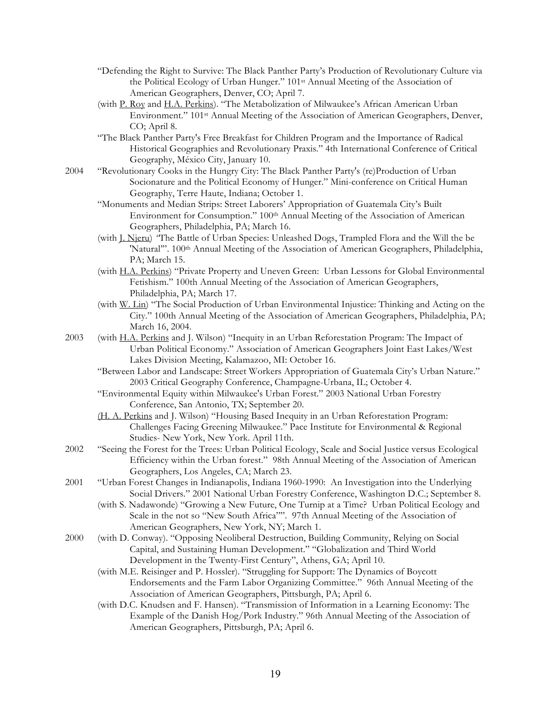- "Defending the Right to Survive: The Black Panther Party's Production of Revolutionary Culture via the Political Ecology of Urban Hunger." 101st Annual Meeting of the Association of American Geographers, Denver, CO; April 7.
- (with P. Roy and H.A. Perkins). "The Metabolization of Milwaukee's African American Urban Environment." 101st Annual Meeting of the Association of American Geographers, Denver, CO; April 8.
- "The Black Panther Party's Free Breakfast for Children Program and the Importance of Radical Historical Geographies and Revolutionary Praxis*.*" 4th International Conference of Critical Geography, México City, January 10.
- 2004 "Revolutionary Cooks in the Hungry City: The Black Panther Party's (re)Production of Urban Socionature and the Political Economy of Hunger." Mini-conference on Critical Human Geography, Terre Haute, Indiana; October 1.
	- "Monuments and Median Strips: Street Laborers' Appropriation of Guatemala City's Built Environment for Consumption." 100<sup>th</sup> Annual Meeting of the Association of American Geographers, Philadelphia, PA; March 16.
	- (with J. Njeru) *"*The Battle of Urban Species: Unleashed Dogs, Trampled Flora and the Will the be 'Natural'". 100<sup>th</sup> Annual Meeting of the Association of American Geographers, Philadelphia, PA; March 15.
	- (with H.A. Perkins) "Private Property and Uneven Green: Urban Lessons for Global Environmental Fetishism." 100th Annual Meeting of the Association of American Geographers, Philadelphia, PA; March 17.
	- (with W. Lin) "The Social Production of Urban Environmental Injustice: Thinking and Acting on the City." 100th Annual Meeting of the Association of American Geographers, Philadelphia, PA; March 16, 2004.
- 2003 (with H.A. Perkins and J. Wilson) "Inequity in an Urban Reforestation Program: The Impact of Urban Political Economy." Association of American Geographers Joint East Lakes/West Lakes Division Meeting, Kalamazoo, MI: October 16.
	- "Between Labor and Landscape: Street Workers Appropriation of Guatemala City's Urban Nature." 2003 Critical Geography Conference, Champagne-Urbana, IL; October 4.
	- "Environmental Equity within Milwaukee's Urban Forest." 2003 National Urban Forestry Conference, San Antonio, TX; September 20.
	- (H. A. Perkins and J. Wilson) "Housing Based Inequity in an Urban Reforestation Program: Challenges Facing Greening Milwaukee." Pace Institute for Environmental & Regional Studies- New York, New York. April 11th.
- 2002 "Seeing the Forest for the Trees: Urban Political Ecology, Scale and Social Justice versus Ecological Efficiency within the Urban forest." 98th Annual Meeting of the Association of American Geographers, Los Angeles, CA; March 23.
- 2001 "Urban Forest Changes in Indianapolis, Indiana 1960-1990: An Investigation into the Underlying Social Drivers." 2001 National Urban Forestry Conference, Washington D.C.; September 8.
	- (with S. Nadawonde) "Growing a New Future, One Turnip at a Time? Urban Political Ecology and Scale in the not so "New South Africa"". 97th Annual Meeting of the Association of American Geographers, New York, NY; March 1.
- 2000 (with D. Conway). "Opposing Neoliberal Destruction, Building Community, Relying on Social Capital, and Sustaining Human Development." "Globalization and Third World Development in the Twenty-First Century", Athens, GA; April 10.
	- (with M.E. Reisinger and P. Hossler). "Struggling for Support: The Dynamics of Boycott Endorsements and the Farm Labor Organizing Committee." 96th Annual Meeting of the Association of American Geographers, Pittsburgh, PA; April 6.
	- (with D.C. Knudsen and F. Hansen). "Transmission of Information in a Learning Economy: The Example of the Danish Hog/Pork Industry." 96th Annual Meeting of the Association of American Geographers, Pittsburgh, PA; April 6.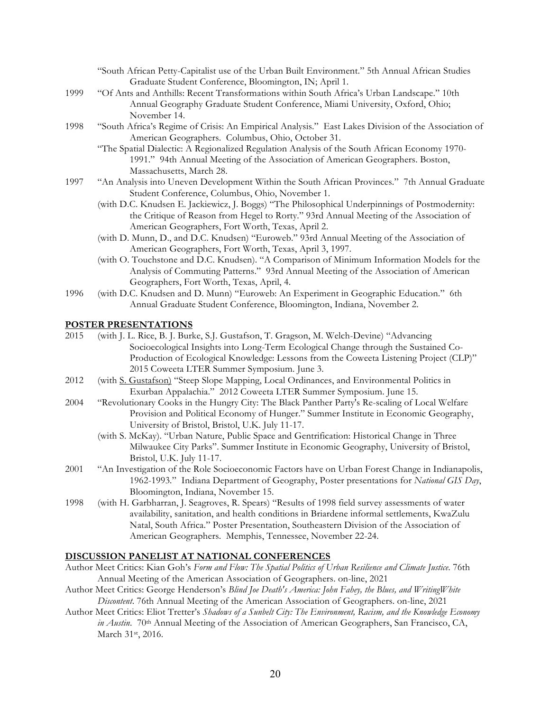| "South African Petty-Capitalist use of the Urban Built Environment." 5th Annual African Studies |  |
|-------------------------------------------------------------------------------------------------|--|
| Graduate Student Conference, Bloomington, IN; April 1.                                          |  |

- 1999 "Of Ants and Anthills: Recent Transformations within South Africa's Urban Landscape." 10th Annual Geography Graduate Student Conference, Miami University, Oxford, Ohio; November 14.
- 1998 "South Africa's Regime of Crisis: An Empirical Analysis." East Lakes Division of the Association of American Geographers. Columbus, Ohio, October 31.
	- "The Spatial Dialectic: A Regionalized Regulation Analysis of the South African Economy 1970- 1991." 94th Annual Meeting of the Association of American Geographers. Boston, Massachusetts, March 28.
- 1997 "An Analysis into Uneven Development Within the South African Provinces." 7th Annual Graduate Student Conference, Columbus, Ohio, November 1.
	- (with D.C. Knudsen E. Jackiewicz, J. Boggs) "The Philosophical Underpinnings of Postmodernity: the Critique of Reason from Hegel to Rorty." 93rd Annual Meeting of the Association of American Geographers, Fort Worth, Texas, April 2.
	- (with D. Munn, D., and D.C. Knudsen) "Euroweb." 93rd Annual Meeting of the Association of American Geographers, Fort Worth, Texas, April 3, 1997.
	- (with O. Touchstone and D.C. Knudsen). "A Comparison of Minimum Information Models for the Analysis of Commuting Patterns." 93rd Annual Meeting of the Association of American Geographers, Fort Worth, Texas, April, 4.
- 1996 (with D.C. Knudsen and D. Munn) "Euroweb: An Experiment in Geographic Education." 6th Annual Graduate Student Conference, Bloomington, Indiana, November 2.

#### **POSTER PRESENTATIONS**

- 2015 (with J. L. Rice, B. J. Burke, S.J. Gustafson, T. Gragson, M. Welch-Devine) "Advancing Socioecological Insights into Long-Term Ecological Change through the Sustained Co-Production of Ecological Knowledge: Lessons from the Coweeta Listening Project (CLP)" 2015 Coweeta LTER Summer Symposium. June 3.
- 2012 (with S. Gustafson) "Steep Slope Mapping, Local Ordinances, and Environmental Politics in Exurban Appalachia." 2012 Coweeta LTER Summer Symposium. June 15.
- 2004 "Revolutionary Cooks in the Hungry City: The Black Panther Party's Re-scaling of Local Welfare Provision and Political Economy of Hunger." Summer Institute in Economic Geography, University of Bristol, Bristol, U.K. July 11-17.
	- (with S. McKay). "Urban Nature, Public Space and Gentrification: Historical Change in Three Milwaukee City Parks". Summer Institute in Economic Geography, University of Bristol, Bristol, U.K. July 11-17.
- 2001 "An Investigation of the Role Socioeconomic Factors have on Urban Forest Change in Indianapolis, 1962-1993*.*"Indiana Department of Geography, Poster presentations for *National GIS Day*, Bloomington, Indiana, November 15.
- 1998 (with H. Garbharran, J. Seagroves, R. Spears) "Results of 1998 field survey assessments of water availability, sanitation, and health conditions in Briardene informal settlements, KwaZulu Natal, South Africa." Poster Presentation, Southeastern Division of the Association of American Geographers. Memphis, Tennessee, November 22-24.

#### **DISCUSSION PANELIST AT NATIONAL CONFERENCES**

- Author Meet Critics: Kian Goh's *Form and Flow: The Spatial Politics of Urban Resilience and Climate Justice*. 76th Annual Meeting of the American Association of Geographers. on-line, 2021
- Author Meet Critics: George Henderson's *Blind Joe Death's America: John Fahey, the Blues, and WritingWhite Discontent*. 76th Annual Meeting of the American Association of Geographers. on-line, 2021
- Author Meet Critics: Eliot Tretter's *Shadows of a Sunbelt City: The Environment, Racism, and the Knowledge Economy*  in Austin. 70<sup>th</sup> Annual Meeting of the Association of American Geographers, San Francisco, CA, March 31st, 2016.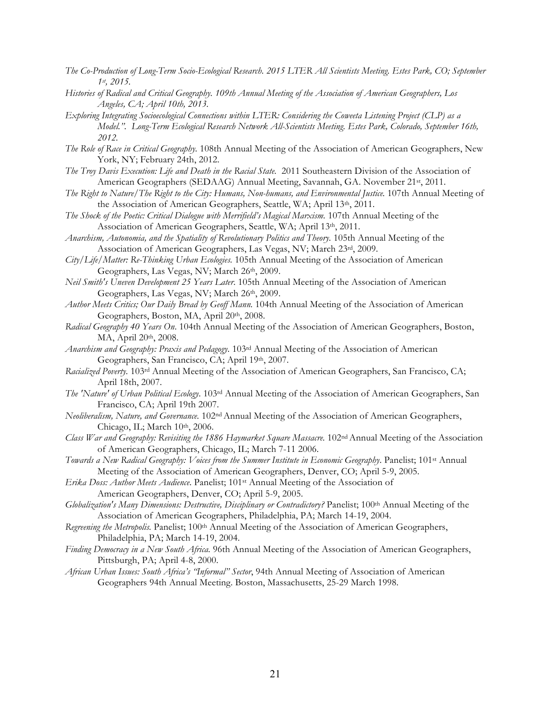- *The Co-Production of Long-Term Socio-Ecological Research. 2015 LTER All Scientists Meeting. Estes Park, CO; September 1st, 2015.*
- *Histories of Radical and Critical Geography. 109th Annual Meeting of the Association of American Geographers, Los Angeles, CA; April 10th, 2013.*
- *Exploring Integrating Socioecological Connections within LTER: Considering the Coweeta Listening Project (CLP) as a Model.". Long-Term Ecological Research Network All-Scientists Meeting. Estes Park, Colorado, September 16th, 2012.*
- *The Role of Race in Critical Geography.* 108th Annual Meeting of the Association of American Geographers, New York, NY; February 24th, 2012.
- *The Troy Davis Execution: Life and Death in the Racial State.* 2011 Southeastern Division of the Association of American Geographers (SEDAAG) Annual Meeting, Savannah, GA. November 21st, 2011.
- The Right to Nature/The Right to the City: Humans, Non-humans, and Environmental Justice. 107th Annual Meeting of the Association of American Geographers, Seattle, WA; April 13th, 2011.
- *The Shock of the Poetic: Critical Dialogue with Merrifield's Magical Marxism.* 107th Annual Meeting of the Association of American Geographers, Seattle, WA; April 13th, 2011.
- *Anarchism, Autonomia, and the Spatiality of Revolutionary Politics and Theory.* 105th Annual Meeting of the Association of American Geographers, Las Vegas, NV; March 23rd, 2009.
- *City/Life/Matter: Re-Thinking Urban Ecologies.* 105th Annual Meeting of the Association of American Geographers, Las Vegas, NV; March 26th, 2009.
- *Neil Smith's Uneven Development 25 Years Later*. 105th Annual Meeting of the Association of American Geographers, Las Vegas, NV; March 26th, 2009.
- Author Meets Critics; Our Daily Bread by Geoff Mann. 104th Annual Meeting of the Association of American Geographers, Boston, MA, April 20th, 2008.
- *Radical Geography 40 Years On*. 104th Annual Meeting of the Association of American Geographers, Boston, MA, April 20<sup>th</sup>, 2008.
- *Anarchism and Geography: Praxis and Pedagogy*. 103rd Annual Meeting of the Association of American Geographers, San Francisco, CA; April 19th, 2007.
- *Racialized Poverty.* 103rd Annual Meeting of the Association of American Geographers, San Francisco, CA; April 18th, 2007.
- *The 'Nature' of Urban Political Ecology*. 103rd Annual Meeting of the Association of American Geographers, San Francisco, CA; April 19th 2007.
- *Neoliberalism, Nature, and Governance.* 102nd Annual Meeting of the Association of American Geographers, Chicago, IL; March 10th, 2006.
- *Class War and Geography: Revisiting the 1886 Haymarket Square Massacre.* 102nd Annual Meeting of the Association of American Geographers, Chicago, IL; March 7-11 2006.
- *Towards a New Radical Geography: Voices from the Summer Institute in Economic Geography*. Panelist; 101st Annual Meeting of the Association of American Geographers, Denver, CO; April 5-9, 2005.
- *Erika Doss: Author Meets Audience*. Panelist; 101st Annual Meeting of the Association of American Geographers, Denver, CO; April 5-9, 2005.
- *Globalization's Many Dimensions: Destructive, Disciplinary or Contradictory?* Panelist; 100th Annual Meeting of the Association of American Geographers, Philadelphia, PA; March 14-19, 2004.
- *Regreening the Metropolis.* Panelist; 100th Annual Meeting of the Association of American Geographers, Philadelphia, PA; March 14-19, 2004.
- *Finding Democracy in a New South Africa.* 96th Annual Meeting of the Association of American Geographers, Pittsburgh, PA; April 4-8, 2000.
- *African Urban Issues: South Africa's "Informal" Sector*, 94th Annual Meeting of Association of American Geographers 94th Annual Meeting. Boston, Massachusetts, 25-29 March 1998.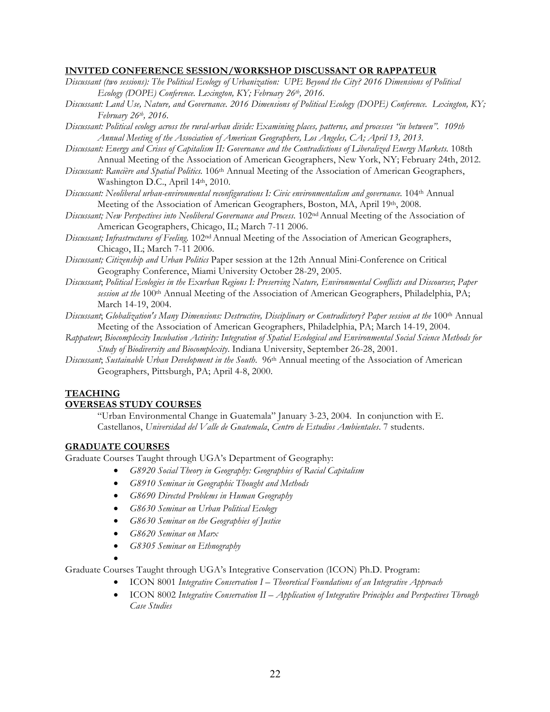### **INVITED CONFERENCE SESSION/WORKSHOP DISCUSSANT OR RAPPATEUR**

- *Discussant (two sessions): The Political Ecology of Urbanization: UPE Beyond the City? 2016 Dimensions of Political Ecology (DOPE) Conference. Lexington, KY; February 26th, 2016.*
- *Discussant: Land Use, Nature, and Governance. 2016 Dimensions of Political Ecology (DOPE) Conference. Lexington, KY; February 26th, 2016.*
- *Discussant: Political ecology across the rural-urban divide: Examining places, patterns, and processes "in between". 109th Annual Meeting of the Association of American Geographers, Los Angeles, CA; April 13, 2013.*
- *Discussant: Energy and Crises of Capitalism II: Governance and the Contradictions of Liberalized Energy Markets.* 108th Annual Meeting of the Association of American Geographers, New York, NY; February 24th, 2012.
- *Discussant: Rancière and Spatial Politics.* 106th Annual Meeting of the Association of American Geographers, Washington D.C., April 14th, 2010.
- *Discussant: Neoliberal urban-environmental reconfigurations I: Civic environmentalism and governance.* 104th Annual Meeting of the Association of American Geographers, Boston, MA, April 19th, 2008.
- *Discussant; New Perspectives into Neoliberal Governance and Process.* 102nd Annual Meeting of the Association of American Geographers, Chicago, IL; March 7-11 2006.
- *Discussant; Infrastructures of Feeling.* 102ndAnnual Meeting of the Association of American Geographers, Chicago, IL; March 7-11 2006.
- *Discussant; Citizenship and Urban Politics* Paper session at the 12th Annual Mini-Conference on Critical Geography Conference, Miami University October 28-29, 2005.
- *Discussant*; *Political Ecologies in the Exurban Regions I: Preserving Nature, Environmental Conflicts and Discourses*; *Paper session at the* 100th Annual Meeting of the Association of American Geographers, Philadelphia, PA; March 14-19, 2004.
- *Discussant*; *Globalization's Many Dimensions: Destructive, Disciplinary or Contradictory? Paper session at the* 100th Annual Meeting of the Association of American Geographers, Philadelphia, PA; March 14-19, 2004.
- *Rappateur*; *Biocomplexity Incubation Activity: Integration of Spatial Ecological and Environmental Social Science Methods for Study of Biodiversity and Biocomplexity*. Indiana University, September 26-28, 2001.
- *Discussant*; *Sustainable Urban Development in the South*. 96th Annual meeting of the Association of American Geographers, Pittsburgh, PA; April 4-8, 2000.

## **TEACHING OVERSEAS STUDY COURSES**

"Urban Environmental Change in Guatemala" January 3-23, 2004. In conjunction with E. Castellanos, *Universidad del Valle de Guatemala*, *Centro de Estudios Ambientales*. 7 students.

## **GRADUATE COURSES**

Graduate Courses Taught through UGA's Department of Geography:

- *G8920 Social Theory in Geography: Geographies of Racial Capitalism*
- *G8910 Seminar in Geographic Thought and Methods*
- *G8690 Directed Problems in Human Geography*
- *G8630 Seminar on Urban Political Ecology*
- *G8630 Seminar on the Geographies of Justice*
- *G8620 Seminar on Marx*
- *G8305 Seminar on Ethnography*
- •

Graduate Courses Taught through UGA's Integrative Conservation (ICON) Ph.D. Program:

- ICON 8001 *Integrative Conservation I – Theoretical Foundations of an Integrative Approach*
- ICON 8002 *Integrative Conservation II – Application of Integrative Principles and Perspectives Through Case Studies*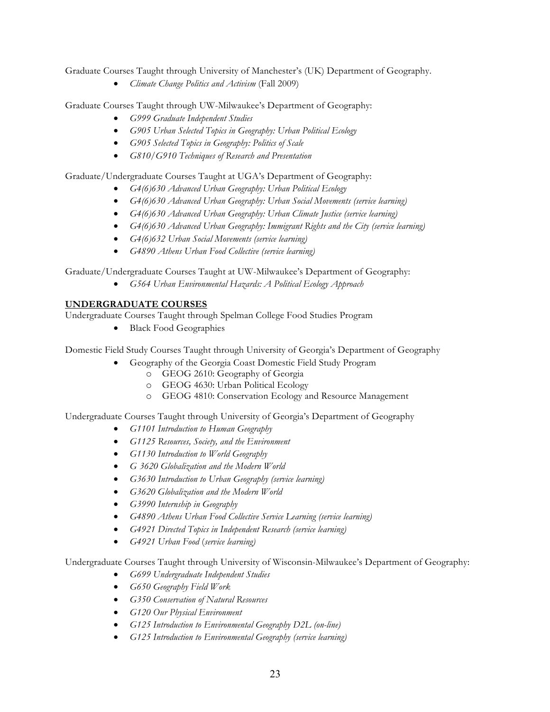Graduate Courses Taught through University of Manchester's (UK) Department of Geography.

• *Climate Change Politics and Activism* (Fall 2009)

Graduate Courses Taught through UW-Milwaukee's Department of Geography:

- *G999 Graduate Independent Studies*
- *G905 Urban Selected Topics in Geography: Urban Political Ecology*
- *G905 Selected Topics in Geography: Politics of Scale*
- *G810/G910 Techniques of Research and Presentation*

Graduate/Undergraduate Courses Taught at UGA's Department of Geography:

- *G4(6)630 Advanced Urban Geography: Urban Political Ecology*
- *G4(6)630 Advanced Urban Geography: Urban Social Movements (service learning)*
- *G4(6)630 Advanced Urban Geography: Urban Climate Justice (service learning)*
- *G4(6)630 Advanced Urban Geography: Immigrant Rights and the City (service learning)*
- *G4(6)632 Urban Social Movements (service learning)*
- *G4890 Athens Urban Food Collective (service learning)*

Graduate/Undergraduate Courses Taught at UW-Milwaukee's Department of Geography:

• *G564 Urban Environmental Hazards: A Political Ecology Approach* 

## **UNDERGRADUATE COURSES**

Undergraduate Courses Taught through Spelman College Food Studies Program

• Black Food Geographies

Domestic Field Study Courses Taught through University of Georgia's Department of Geography

- Geography of the Georgia Coast Domestic Field Study Program
	- o GEOG 2610: Geography of Georgia
	- o GEOG 4630: Urban Political Ecology
	- o GEOG 4810: Conservation Ecology and Resource Management

Undergraduate Courses Taught through University of Georgia's Department of Geography

- *G1101 Introduction to Human Geography*
- *G1125 Resources, Society, and the Environment*
- *G1130 Introduction to World Geography*
- *G 3620 Globalization and the Modern World*
- *G3630 Introduction to Urban Geography (service learning)*
- *G3620 Globalization and the Modern World*
- *G3990 Internship in Geography*
- *G4890 Athens Urban Food Collective Service Learning (service learning)*
- *G4921 Directed Topics in Independent Research (service learning)*
- *G4921 Urban Food* (*service learning)*

Undergraduate Courses Taught through University of Wisconsin-Milwaukee's Department of Geography:

- *G699 Undergraduate Independent Studies*
- *G650 Geography Field Work*
- *G350 Conservation of Natural Resources*
- *G120 Our Physical Environment*
- *G125 Introduction to Environmental Geography D2L (on-line)*
- *G125 Introduction to Environmental Geography (service learning)*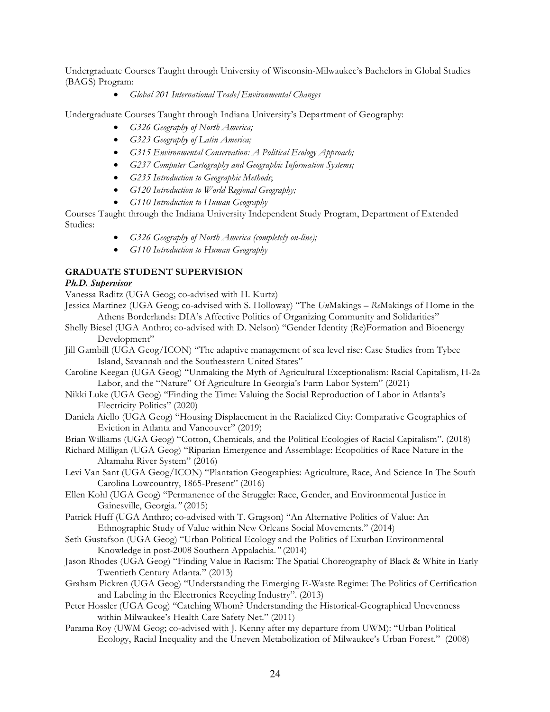Undergraduate Courses Taught through University of Wisconsin-Milwaukee's Bachelors in Global Studies (BAGS) Program:

• *Global 201 International Trade/Environmental Changes*

Undergraduate Courses Taught through Indiana University's Department of Geography:

- *G326 Geography of North America;*
- *G323 Geography of Latin America;*
- *G315 Environmental Conservation: A Political Ecology Approach;*
- *G237 Computer Cartography and Geographic Information Systems;*
- *G235 Introduction to Geographic Methods*;
- *G120 Introduction to World Regional Geography;*
- *G110 Introduction to Human Geography*

Courses Taught through the Indiana University Independent Study Program, Department of Extended Studies:

- *G326 Geography of North America (completely on-line);*
- *G110 Introduction to Human Geography*

## **GRADUATE STUDENT SUPERVISION**

### *Ph.D. Supervisor*

Vanessa Raditz (UGA Geog; co-advised with H. Kurtz)

- Jessica Martinez (UGA Geog; co-advised with S. Holloway) "The *Un*Makings *Re*Makings of Home in the Athens Borderlands: DIA's Affective Politics of Organizing Community and Solidarities"
- Shelly Biesel (UGA Anthro; co-advised with D. Nelson) "Gender Identity (Re)Formation and Bioenergy Development"
- Jill Gambill (UGA Geog/ICON) "The adaptive management of sea level rise: Case Studies from Tybee Island, Savannah and the Southeastern United States"
- Caroline Keegan (UGA Geog) "Unmaking the Myth of Agricultural Exceptionalism: Racial Capitalism, H-2a Labor, and the "Nature" Of Agriculture In Georgia's Farm Labor System" (2021)
- Nikki Luke (UGA Geog) "Finding the Time: Valuing the Social Reproduction of Labor in Atlanta's Electricity Politics" (2020)
- Daniela Aiello (UGA Geog) "Housing Displacement in the Racialized City: Comparative Geographies of Eviction in Atlanta and Vancouver" (2019)
- Brian Williams (UGA Geog) "Cotton, Chemicals, and the Political Ecologies of Racial Capitalism". (2018)
- Richard Milligan (UGA Geog) "Riparian Emergence and Assemblage: Ecopolitics of Race Nature in the Altamaha River System" (2016)
- Levi Van Sant (UGA Geog/ICON) "Plantation Geographies: Agriculture, Race, And Science In The South Carolina Lowcountry, 1865-Present" (2016)
- Ellen Kohl (UGA Geog) "Permanence of the Struggle: Race, Gender, and Environmental Justice in Gainesville, Georgia*."* (2015)
- Patrick Huff (UGA Anthro; co-advised with T. Gragson) "An Alternative Politics of Value: An Ethnographic Study of Value within New Orleans Social Movements." (2014)
- Seth Gustafson (UGA Geog) "Urban Political Ecology and the Politics of Exurban Environmental Knowledge in post-2008 Southern Appalachia*."* (2014)
- Jason Rhodes (UGA Geog) "Finding Value in Racism: The Spatial Choreography of Black & White in Early Twentieth Century Atlanta." (2013)
- Graham Pickren (UGA Geog) "Understanding the Emerging E-Waste Regime: The Politics of Certification and Labeling in the Electronics Recycling Industry". (2013)
- Peter Hossler (UGA Geog) "Catching Whom? Understanding the Historical-Geographical Unevenness within Milwaukee's Health Care Safety Net." (2011)
- Parama Roy (UWM Geog; co-advised with J. Kenny after my departure from UWM): "Urban Political Ecology, Racial Inequality and the Uneven Metabolization of Milwaukee's Urban Forest." (2008)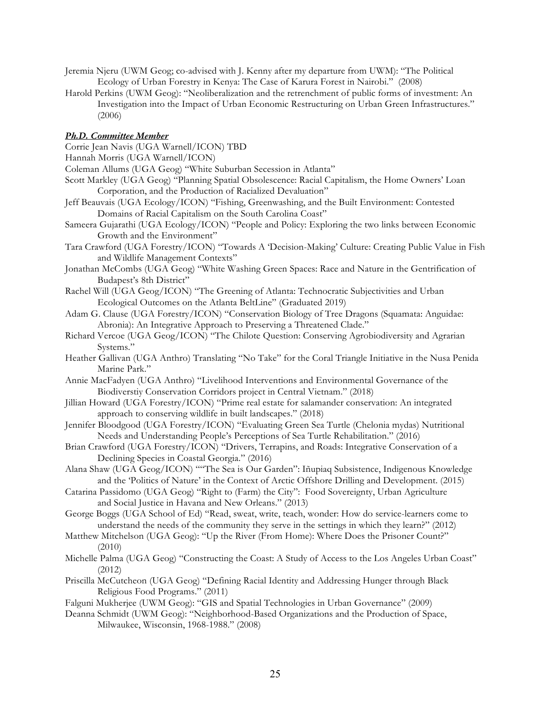- Jeremia Njeru (UWM Geog; co-advised with J. Kenny after my departure from UWM): "The Political Ecology of Urban Forestry in Kenya: The Case of Karura Forest in Nairobi." (2008)
- Harold Perkins (UWM Geog): "Neoliberalization and the retrenchment of public forms of investment: An Investigation into the Impact of Urban Economic Restructuring on Urban Green Infrastructures." (2006)

### *Ph.D. Committee Member*

Corrie Jean Navis (UGA Warnell/ICON) TBD

Hannah Morris (UGA Warnell/ICON)

Coleman Allums (UGA Geog) "White Suburban Secession in Atlanta"

- Scott Markley (UGA Geog) "Planning Spatial Obsolescence: Racial Capitalism, the Home Owners' Loan Corporation, and the Production of Racialized Devaluation"
- Jeff Beauvais (UGA Ecology/ICON) "Fishing, Greenwashing, and the Built Environment: Contested Domains of Racial Capitalism on the South Carolina Coast"
- Sameera Gujarathi (UGA Ecology/ICON) "People and Policy: Exploring the two links between Economic Growth and the Environment"
- Tara Crawford (UGA Forestry/ICON) "Towards A 'Decision-Making' Culture: Creating Public Value in Fish and Wildlife Management Contexts"
- Jonathan McCombs (UGA Geog) "White Washing Green Spaces: Race and Nature in the Gentrification of Budapest's 8th District"
- Rachel Will (UGA Geog/ICON) "The Greening of Atlanta: Technocratic Subjectivities and Urban Ecological Outcomes on the Atlanta BeltLine" (Graduated 2019)
- Adam G. Clause (UGA Forestry/ICON) "Conservation Biology of Tree Dragons (Squamata: Anguidae: Abronia): An Integrative Approach to Preserving a Threatened Clade."
- Richard Vercoe (UGA Geog/ICON) "The Chilote Question: Conserving Agrobiodiversity and Agrarian Systems."
- Heather Gallivan (UGA Anthro) Translating "No Take" for the Coral Triangle Initiative in the Nusa Penida Marine Park."
- Annie MacFadyen (UGA Anthro) "Livelihood Interventions and Environmental Governance of the Biodiverstiy Conservation Corridors project in Central Vietnam." (2018)
- Jillian Howard (UGA Forestry/ICON) "Prime real estate for salamander conservation: An integrated approach to conserving wildlife in built landscapes." (2018)
- Jennifer Bloodgood (UGA Forestry/ICON) "Evaluating Green Sea Turtle (Chelonia mydas) Nutritional Needs and Understanding People's Perceptions of Sea Turtle Rehabilitation." (2016)
- Brian Crawford (UGA Forestry/ICON) "Drivers, Terrapins, and Roads: Integrative Conservation of a Declining Species in Coastal Georgia." (2016)
- Alana Shaw (UGA Geog/ICON) ""The Sea is Our Garden": Iñupiaq Subsistence, Indigenous Knowledge and the 'Politics of Nature' in the Context of Arctic Offshore Drilling and Development. (2015)
- Catarina Passidomo (UGA Geog) "Right to (Farm) the City": Food Sovereignty, Urban Agriculture and Social Justice in Havana and New Orleans." (2013)
- George Boggs (UGA School of Ed) "Read, sweat, write, teach, wonder: How do service-learners come to understand the needs of the community they serve in the settings in which they learn?" (2012)
- Matthew Mitchelson (UGA Geog): "Up the River (From Home): Where Does the Prisoner Count?" (2010)
- Michelle Palma (UGA Geog) "Constructing the Coast: A Study of Access to the Los Angeles Urban Coast" (2012)
- Priscilla McCutcheon (UGA Geog) "Defining Racial Identity and Addressing Hunger through Black Religious Food Programs." (2011)
- Falguni Mukherjee (UWM Geog): "GIS and Spatial Technologies in Urban Governance" (2009)
- Deanna Schmidt (UWM Geog): "Neighborhood-Based Organizations and the Production of Space, Milwaukee, Wisconsin, 1968-1988." (2008)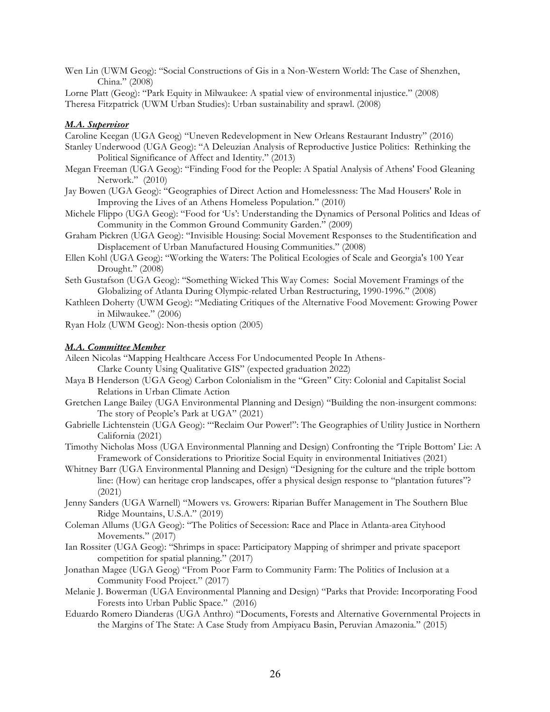Wen Lin (UWM Geog): "Social Constructions of Gis in a Non-Western World: The Case of Shenzhen, China." (2008)

Lorne Platt (Geog): "Park Equity in Milwaukee: A spatial view of environmental injustice." (2008) Theresa Fitzpatrick (UWM Urban Studies): Urban sustainability and sprawl. (2008)

#### *M.A. Supervisor*

Caroline Keegan (UGA Geog) "Uneven Redevelopment in New Orleans Restaurant Industry" (2016)

- Stanley Underwood (UGA Geog): "A Deleuzian Analysis of Reproductive Justice Politics: Rethinking the Political Significance of Affect and Identity." (2013)
- Megan Freeman (UGA Geog): "Finding Food for the People: A Spatial Analysis of Athens' Food Gleaning Network." (2010)
- Jay Bowen (UGA Geog): "Geographies of Direct Action and Homelessness: The Mad Housers' Role in Improving the Lives of an Athens Homeless Population." (2010)
- Michele Flippo (UGA Geog): "Food for 'Us': Understanding the Dynamics of Personal Politics and Ideas of Community in the Common Ground Community Garden." (2009)
- Graham Pickren (UGA Geog): "Invisible Housing: Social Movement Responses to the Studentification and Displacement of Urban Manufactured Housing Communities." (2008)
- Ellen Kohl (UGA Geog): "Working the Waters: The Political Ecologies of Scale and Georgia's 100 Year Drought." (2008)
- Seth Gustafson (UGA Geog): "Something Wicked This Way Comes: Social Movement Framings of the Globalizing of Atlanta During Olympic-related Urban Restructuring, 1990-1996." (2008)
- Kathleen Doherty (UWM Geog): "Mediating Critiques of the Alternative Food Movement: Growing Power in Milwaukee." (2006)

Ryan Holz (UWM Geog): Non-thesis option (2005)

#### *M.A. Committee Member*

Aileen Nicolas "Mapping Healthcare Access For Undocumented People In Athens-

Clarke County Using Qualitative GIS" (expected graduation 2022)

- Maya B Henderson (UGA Geog) Carbon Colonialism in the "Green" City: Colonial and Capitalist Social Relations in Urban Climate Action
- Gretchen Lange Bailey (UGA Environmental Planning and Design) "Building the non-insurgent commons: The story of People's Park at UGA" (2021)
- Gabrielle Lichtenstein (UGA Geog): "'Reclaim Our Power!": The Geographies of Utility Justice in Northern California (2021)
- Timothy Nicholas Moss (UGA Environmental Planning and Design) Confronting the 'Triple Bottom' Lie: A Framework of Considerations to Prioritize Social Equity in environmental Initiatives (2021)
- Whitney Barr (UGA Environmental Planning and Design) "Designing for the culture and the triple bottom line: (How) can heritage crop landscapes, offer a physical design response to "plantation futures"? (2021)
- Jenny Sanders (UGA Warnell) "Mowers vs. Growers: Riparian Buffer Management in The Southern Blue Ridge Mountains, U.S.A." (2019)
- Coleman Allums (UGA Geog): "The Politics of Secession: Race and Place in Atlanta-area Cityhood Movements." (2017)
- Ian Rossiter (UGA Geog): "Shrimps in space: Participatory Mapping of shrimper and private spaceport competition for spatial planning." (2017)
- Jonathan Magee (UGA Geog) "From Poor Farm to Community Farm: The Politics of Inclusion at a Community Food Project." (2017)
- Melanie J. Bowerman (UGA Environmental Planning and Design) "Parks that Provide: Incorporating Food Forests into Urban Public Space." (2016)
- Eduardo Romero Dianderas (UGA Anthro) "Documents, Forests and Alternative Governmental Projects in the Margins of The State: A Case Study from Ampiyacu Basin, Peruvian Amazonia." (2015)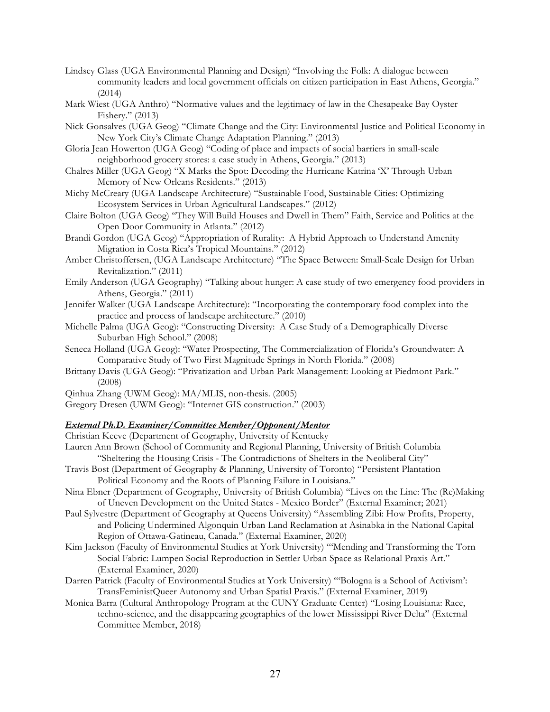- Lindsey Glass (UGA Environmental Planning and Design) "Involving the Folk: A dialogue between community leaders and local government officials on citizen participation in East Athens, Georgia." (2014)
- Mark Wiest (UGA Anthro) "Normative values and the legitimacy of law in the Chesapeake Bay Oyster Fishery." (2013)
- Nick Gonsalves (UGA Geog) "Climate Change and the City: Environmental Justice and Political Economy in New York City's Climate Change Adaptation Planning." (2013)
- Gloria Jean Howerton (UGA Geog) "Coding of place and impacts of social barriers in small-scale neighborhood grocery stores: a case study in Athens, Georgia." (2013)
- Chalres Miller (UGA Geog) "X Marks the Spot: Decoding the Hurricane Katrina 'X' Through Urban Memory of New Orleans Residents." (2013)
- Michy McCreary (UGA Landscape Architecture) "Sustainable Food, Sustainable Cities: Optimizing Ecosystem Services in Urban Agricultural Landscapes." (2012)
- Claire Bolton (UGA Geog) "They Will Build Houses and Dwell in Them" Faith, Service and Politics at the Open Door Community in Atlanta." (2012)
- Brandi Gordon (UGA Geog) "Appropriation of Rurality: A Hybrid Approach to Understand Amenity Migration in Costa Rica's Tropical Mountains." (2012)
- Amber Christoffersen, (UGA Landscape Architecture) "The Space Between: Small-Scale Design for Urban Revitalization." (2011)
- Emily Anderson (UGA Geography) "Talking about hunger: A case study of two emergency food providers in Athens, Georgia." (2011)
- Jennifer Walker (UGA Landscape Architecture): "Incorporating the contemporary food complex into the practice and process of landscape architecture." (2010)
- Michelle Palma (UGA Geog): "Constructing Diversity: A Case Study of a Demographically Diverse Suburban High School." (2008)
- Seneca Holland (UGA Geog): "Water Prospecting, The Commercialization of Florida's Groundwater: A Comparative Study of Two First Magnitude Springs in North Florida." (2008)
- Brittany Davis (UGA Geog): "Privatization and Urban Park Management: Looking at Piedmont Park." (2008)
- Qinhua Zhang (UWM Geog): MA/MLIS, non-thesis. (2005)
- Gregory Dresen (UWM Geog): "Internet GIS construction." (2003)

### *External Ph.D. Examiner/Committee Member/Opponent/Mentor*

- Christian Keeve (Department of Geography, University of Kentucky
- Lauren Ann Brown (School of Community and Regional Planning, University of British Columbia "Sheltering the Housing Crisis - The Contradictions of Shelters in the Neoliberal City"
- Travis Bost (Department of Geography & Planning, University of Toronto) "Persistent Plantation Political Economy and the Roots of Planning Failure in Louisiana."
- Nina Ebner (Department of Geography, University of British Columbia) "Lives on the Line: The (Re)Making of Uneven Development on the United States - Mexico Border" (External Examiner; 2021)
- Paul Sylvestre (Department of Geography at Queens University) "Assembling Zibi: How Profits, Property, and Policing Undermined Algonquin Urban Land Reclamation at Asinabka in the National Capital Region of Ottawa-Gatineau, Canada." (External Examiner, 2020)
- Kim Jackson (Faculty of Environmental Studies at York University) "'Mending and Transforming the Torn Social Fabric: Lumpen Social Reproduction in Settler Urban Space as Relational Praxis Art." (External Examiner, 2020)
- Darren Patrick (Faculty of Environmental Studies at York University) "'Bologna is a School of Activism': TransFeministQueer Autonomy and Urban Spatial Praxis." (External Examiner, 2019)
- Monica Barra (Cultural Anthropology Program at the CUNY Graduate Center) "Losing Louisiana: Race, techno-science, and the disappearing geographies of the lower Mississippi River Delta" (External Committee Member, 2018)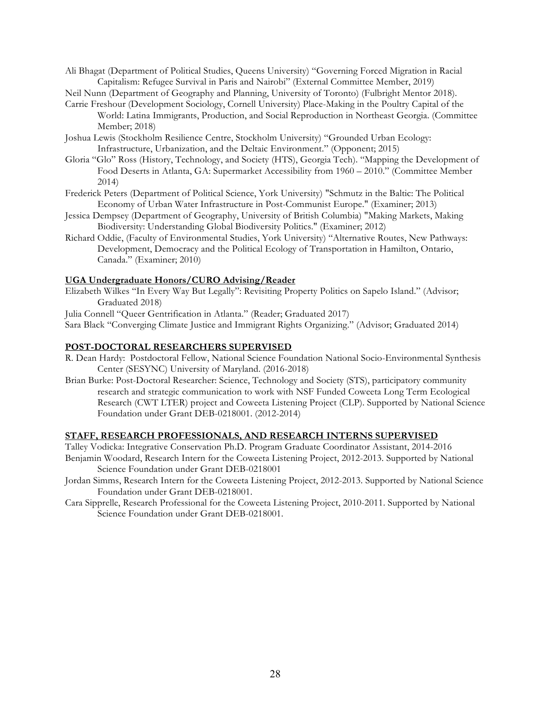Ali Bhagat (Department of Political Studies, Queens University) "Governing Forced Migration in Racial Capitalism: Refugee Survival in Paris and Nairobi" (External Committee Member, 2019)

Neil Nunn (Department of Geography and Planning, University of Toronto) (Fulbright Mentor 2018).

- Carrie Freshour (Development Sociology, Cornell University) Place-Making in the Poultry Capital of the World: Latina Immigrants, Production, and Social Reproduction in Northeast Georgia. (Committee Member; 2018)
- Joshua Lewis (Stockholm Resilience Centre, Stockholm University) "Grounded Urban Ecology: Infrastructure, Urbanization, and the Deltaic Environment." (Opponent; 2015)
- Gloria "Glo" Ross (History, Technology, and Society (HTS), Georgia Tech). "Mapping the Development of Food Deserts in Atlanta, GA: Supermarket Accessibility from 1960 – 2010." (Committee Member 2014)
- Frederick Peters (Department of Political Science, York University) "Schmutz in the Baltic: The Political Economy of Urban Water Infrastructure in Post-Communist Europe." (Examiner; 2013)
- Jessica Dempsey (Department of Geography, University of British Columbia) "Making Markets, Making Biodiversity: Understanding Global Biodiversity Politics." (Examiner; 2012)
- Richard Oddie, (Faculty of Environmental Studies, York University) "Alternative Routes, New Pathways: Development, Democracy and the Political Ecology of Transportation in Hamilton, Ontario, Canada." (Examiner; 2010)

## **UGA Undergraduate Honors/CURO Advising/Reader**

Elizabeth Wilkes "In Every Way But Legally": Revisiting Property Politics on Sapelo Island." (Advisor; Graduated 2018)

Julia Connell "Queer Gentrification in Atlanta." (Reader; Graduated 2017)

Sara Black "Converging Climate Justice and Immigrant Rights Organizing." (Advisor; Graduated 2014)

## **POST-DOCTORAL RESEARCHERS SUPERVISED**

- R. Dean Hardy: Postdoctoral Fellow, National Science Foundation National Socio-Environmental Synthesis Center (SESYNC) University of Maryland. (2016-2018)
- Brian Burke: Post-Doctoral Researcher: Science, Technology and Society (STS), participatory community research and strategic communication to work with NSF Funded Coweeta Long Term Ecological Research (CWT LTER) project and Coweeta Listening Project (CLP). Supported by National Science Foundation under Grant DEB-0218001. (2012-2014)

### **STAFF, RESEARCH PROFESSIONALS, AND RESEARCH INTERNS SUPERVISED**

Talley Vodicka: Integrative Conservation Ph.D. Program Graduate Coordinator Assistant, 2014-2016 Benjamin Woodard, Research Intern for the Coweeta Listening Project, 2012-2013. Supported by National Science Foundation under Grant DEB-0218001

- Jordan Simms, Research Intern for the Coweeta Listening Project, 2012-2013. Supported by National Science Foundation under Grant DEB-0218001.
- Cara Sipprelle, Research Professional for the Coweeta Listening Project, 2010-2011. Supported by National Science Foundation under Grant DEB-0218001.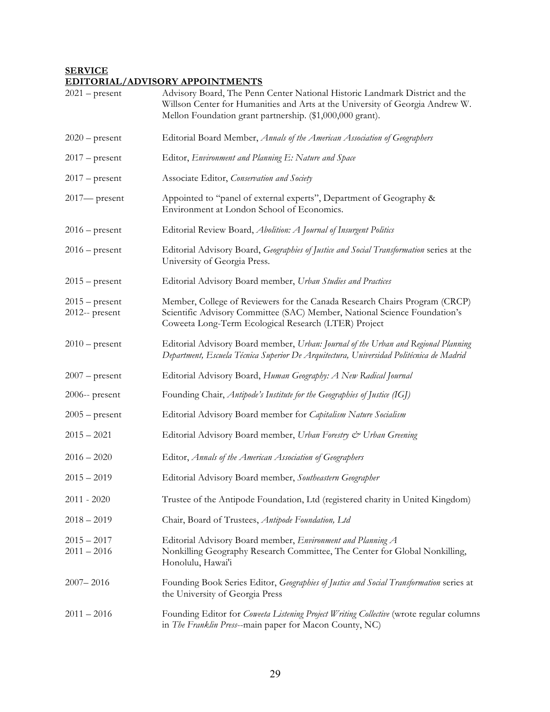## **SERVICE EDITORIAL/ADVISORY APPOINTMENTS**

| $2021$ – present                   | Advisory Board, The Penn Center National Historic Landmark District and the<br>Willson Center for Humanities and Arts at the University of Georgia Andrew W.<br>Mellon Foundation grant partnership. (\$1,000,000 grant). |
|------------------------------------|---------------------------------------------------------------------------------------------------------------------------------------------------------------------------------------------------------------------------|
| $2020$ – present                   | Editorial Board Member, Annals of the American Association of Geographers                                                                                                                                                 |
| $2017$ – present                   | Editor, Environment and Planning E: Nature and Space                                                                                                                                                                      |
| $2017$ – present                   | Associate Editor, Conservation and Society                                                                                                                                                                                |
| $2017$ present                     | Appointed to "panel of external experts", Department of Geography &<br>Environment at London School of Economics.                                                                                                         |
| $2016$ – present                   | Editorial Review Board, Abolition: A Journal of Insurgent Politics                                                                                                                                                        |
| $2016$ – present                   | Editorial Advisory Board, Geographies of Justice and Social Transformation series at the<br>University of Georgia Press.                                                                                                  |
| $2015$ – present                   | Editorial Advisory Board member, Urban Studies and Practices                                                                                                                                                              |
| $2015$ – present<br>2012-- present | Member, College of Reviewers for the Canada Research Chairs Program (CRCP)<br>Scientific Advisory Committee (SAC) Member, National Science Foundation's<br>Coweeta Long-Term Ecological Research (LTER) Project           |
| $2010$ – present                   | Editorial Advisory Board member, Urban: Journal of the Urban and Regional Planning<br>Department, Escuela Técnica Superior De Arquitectura, Universidad Politécnica de Madrid                                             |
| $2007$ – present                   | Editorial Advisory Board, Human Geography: A New Radical Journal                                                                                                                                                          |
| $2006$ -- present                  | Founding Chair, Antipode's Institute for the Geographies of Justice (IGJ)                                                                                                                                                 |
| $2005$ – present                   | Editorial Advisory Board member for Capitalism Nature Socialism                                                                                                                                                           |
| $2015 - 2021$                      | Editorial Advisory Board member, Urban Forestry & Urban Greening                                                                                                                                                          |
| $2016 - 2020$                      | Editor, Annals of the American Association of Geographers                                                                                                                                                                 |
| $2015 - 2019$                      | Editorial Advisory Board member, Southeastern Geographer                                                                                                                                                                  |
| $2011 - 2020$                      | Trustee of the Antipode Foundation, Ltd (registered charity in United Kingdom)                                                                                                                                            |
| $2018 - 2019$                      | Chair, Board of Trustees, Antipode Foundation, Ltd                                                                                                                                                                        |
| $2015 - 2017$<br>$2011 - 2016$     | Editorial Advisory Board member, Environment and Planning A<br>Nonkilling Geography Research Committee, The Center for Global Nonkilling,<br>Honolulu, Hawai'i                                                            |
| $2007 - 2016$                      | Founding Book Series Editor, Geographies of Justice and Social Transformation series at<br>the University of Georgia Press                                                                                                |
| $2011 - 2016$                      | Founding Editor for <i>Coweeta Listening Project Writing Collective</i> (wrote regular columns<br>in The Franklin Press--main paper for Macon County, NC)                                                                 |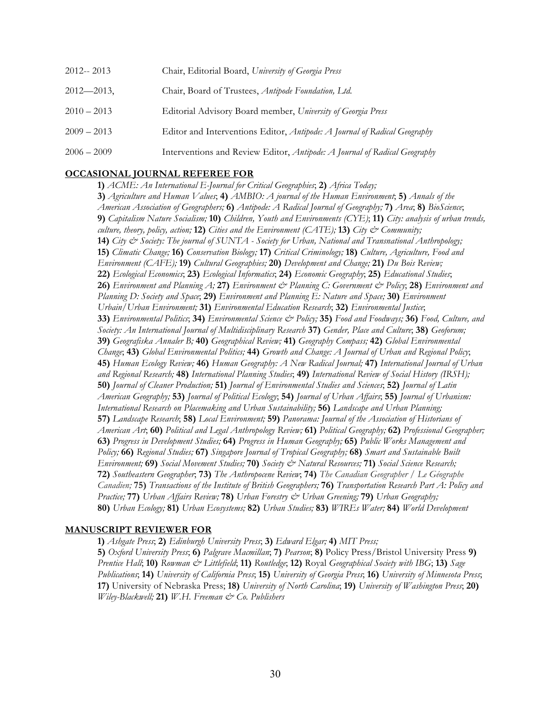| 2012--2013      | Chair, Editorial Board, University of Georgia Press                       |
|-----------------|---------------------------------------------------------------------------|
| $2012 - 2013$ , | Chair, Board of Trustees, Antipode Foundation, Ltd.                       |
| $2010 - 2013$   | Editorial Advisory Board member, University of Georgia Press              |
| $2009 - 2013$   | Editor and Interventions Editor, Antipode: A Journal of Radical Geography |
| $2006 - 2009$   | Interventions and Review Editor, Antipode: A Journal of Radical Geography |

### **OCCASIONAL JOURNAL REFEREE FOR**

**1)** *ACME: An International E-Journal for Critical Geographies*; **2)** *Africa Today;* **3)** *Agriculture and Human Values*; **4)** *AMBIO: A journal of the Human Environment*; **5)** *Annals of the American Association of Geographers;* **6)** *Antipode: A Radical Journal of Geography;* **7)** *Area*; **8)** *BioScience*; **9)** *Capitalism Nature Socialism;* **10)** *Children, Youth and Environments (CYE)*; **11)** *City: analysis of urban trends, culture, theory, policy, action;* **12)** *Cities and the Environment (CATE);* **13)** *City & Community;* **14)** *City & Society: The journal of SUNTA - Society for Urban, National and Transnational Anthropology;*  **15)** *Climatic Change;* **16)** *Conservation Biology;* **17)** *Critical Criminology;* **18)** *Culture, Agriculture, Food and Environment (CAFE);* **19)** *Cultural Geographies;* **20)** *Development and Change;* **21)** *Du Bois Review;* **22)** *Ecological Economics*; **23)** *Ecological Informatics*; **24)** *Economic Geography*; **25)** *Educational Studies*; **26)** *Environment and Planning A;* **27)** *Environment & Planning C: Government & Policy*; **28)** *Environment and Planning D: Society and Space*; **29)** *Environment and Planning E: Nature and Space;* **30)** *Environment Urbain/Urban Environment;* **31)** *Environmental Education Research*; **32)** *Environmental Justice*; **33)** *Environmental Politics*; **34)** *Environmental Science & Policy;* **35)** *Food and Foodways;* **36)** *Food, Culture, and Society: An International Journal of Multidisciplinary Research* **37)** *Gender, Place and Culture*; **38)** *Geoforum;*  **39)** *Geografiska Annaler B;* **40)** *Geographical Review;* **41)** *Geography Compass;* **42)** *Global Environmental Change*; **43)** *Global Environmental Politics;* **44)** *Growth and Change: A Journal of Urban and Regional Policy*; **45)** *Human Ecology Review;* **46)** *Human Geography: A New Radical Journal;* **47)** *International Journal of Urban and Regional Research;* **48)** *International Planning Studies*; **49)** *International Review of Social History (IRSH);*  **50)** *Journal of Cleaner Production;* **51)** *Journal of Environmental Studies and Sciences*; **52)** *Journal of Latin American Geography;* **53)** *Journal of Political Ecology*; **54)** *Journal of Urban Affairs*; **55)** *Journal of Urbanism: International Research on Placemaking and Urban Sustainability;* **56)** *Landscape and Urban Planning;* **57)** *Landscape Research*; **58)** *Local Environment;* **59)** *Panorama: Journal of the Association of Historians of American Art*; **60)** *Political and Legal Anthropology Review;* **61)** *Political Geography;* **62)** *Professional Geographer;*  **63)** *Progress in Development Studies;* **64)** *Progress in Human Geography;* **65)** *Public Works Management and Policy;* **66)** *Regional Studies;* **67)** *Singapore Journal of Tropical Geography;* **68)** *Smart and Sustainable Built Environment;* **69)** *Social Movement Studies;* **70)** *Society & Natural Resources;* **71)** *Social Science Research;* **72)** *Southeastern Geographer*; **73)** *The Anthropocene Review*; **74)** *The Canadian Geographer / Le Géographe Canadien;* **75)** *Transactions of the Institute of British Geographers;* **76)** *Transportation Research Part A: Policy and Practice;* **77)** *Urban Affairs Review;* **78)** *Urban Forestry & Urban Greening;* **79)** *Urban Geography;*  **80)** *Urban Ecology;* **81)** *Urban Ecosystems;* **82)** *Urban Studies;* **83)** *WIREs Water;* **84)** *World Development*

### **MANUSCRIPT REVIEWER FOR**

**1)** *Ashgate Press*; **2)** *Edinburgh University Press*; **3)** *Edward Elgar;* **4)** *MIT Press;*  **5)** *Oxford University Press*; **6)** *Palgrave Macmillan*; **7)** *Pearson*; **8)** Policy Press/Bristol University Press **9)**  *Prentice Hall*; **10)** *Rowman & Littlefield*; **11)** *Routledge*; **12)** Royal *Geographical Society with IBG*; **13)** *Sage Publications*; **14)** *University of California Press*; **15)** *University of Georgia Press*; **16)** *University of Minnesota Press*; **17)** University of Nebraska Press; **18)** *University of North Carolina*; **19)** *University of Washington Press*; **20)**  *Wiley-Blackwell;* **21)** *W.H. Freeman & Co. Publishers*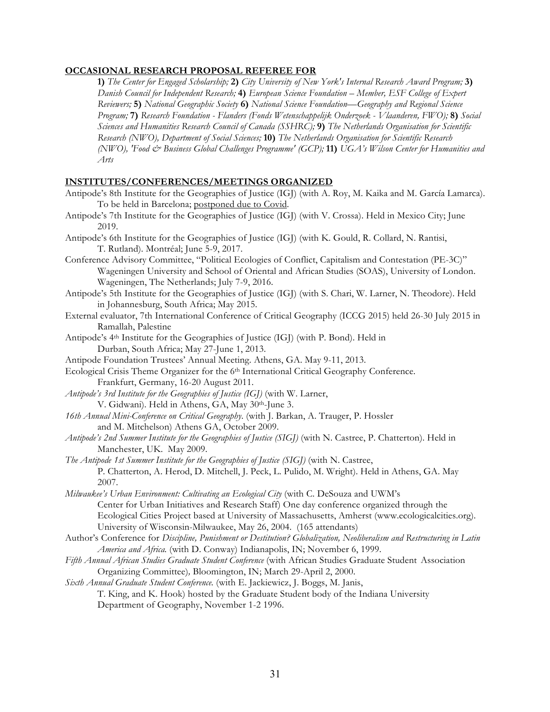## **OCCASIONAL RESEARCH PROPOSAL REFEREE FOR**

**1)** *The Center for Engaged Scholarship;* **2)** *City University of New York's Internal Research Award Program;* **3)** *Danish Council for Independent Research;* **4)** *European Science Foundation – Member, ESF College of Expert Reviewers;* **5)** *National Geographic Society* **6)** *National Science Foundation—Geography and Regional Science Program;* **7)** *Research Foundation - Flanders (Fonds Wetenschappelijk Onderzoek - Vlaanderen, FWO);* **8)** *Social Sciences and Humanities Research Council of Canada (SSHRC);* **9)** *The Netherlands Organisation for Scientific Research (NWO), Department of Social Sciences;* **10)** *The Netherlands Organisation for Scientific Research (NWO), 'Food & Business Global Challenges Programme' (GCP);* **11)** *UGA's Wilson Center for Humanities and Arts*

## **INSTITUTES/CONFERENCES/MEETINGS ORGANIZED**

- Antipode's 8th Institute for the Geographies of Justice (IGJ) (with A. Roy, M. Kaika and M. García Lamarca). To be held in Barcelona; postponed due to Covid.
- Antipode's 7th Institute for the Geographies of Justice (IGJ) (with V. Crossa). Held in Mexico City; June 2019.
- Antipode's 6th Institute for the Geographies of Justice (IGJ) (with K. Gould, R. Collard, N. Rantisi, T. Rutland). Montréal; June 5-9, 2017.
- Conference Advisory Committee, "Political Ecologies of Conflict, Capitalism and Contestation (PE-3C)" Wageningen University and School of Oriental and African Studies (SOAS), University of London. Wageningen, The Netherlands; July 7-9, 2016.
- Antipode's 5th Institute for the Geographies of Justice (IGJ) (with S. Chari, W. Larner, N. Theodore). Held in Johannesburg, South Africa; May 2015.
- External evaluator, 7th International Conference of Critical Geography (ICCG 2015) held 26-30 July 2015 in Ramallah, Palestine
- Antipode's 4th Institute for the Geographies of Justice (IGJ) (with P. Bond). Held in Durban, South Africa; May 27-June 1, 2013.
- Antipode Foundation Trustees' Annual Meeting. Athens, GA. May 9-11, 2013.
- Ecological Crisis Theme Organizer for the 6<sup>th</sup> International Critical Geography Conference. Frankfurt, Germany, 16-20 August 2011.
- *Antipode's 3rd Institute for the Geographies of Justice (IGJ)* (with W. Larner, V. Gidwani). Held in Athens, GA, May 30th-June 3.
- *16th Annual Mini-Conference on Critical Geography*. (with J. Barkan, A. Trauger, P. Hossler and M. Mitchelson) Athens GA, October 2009.
- *Antipode's 2nd Summer Institute for the Geographies of Justice (SIGJ)* (with N. Castree, P. Chatterton). Held in Manchester, UK. May 2009.
- *The Antipode 1st Summer Institute for the Geographies of Justice (SIGJ)* (with N. Castree, P. Chatterton, A. Herod, D. Mitchell, J. Peck, L. Pulido, M. Wright). Held in Athens, GA. May 2007.
- *Milwaukee's Urban Environment: Cultivating an Ecological City* (with C. DeSouza and UWM's Center for Urban Initiatives and Research Staff) One day conference organized through the Ecological Cities Project based at University of Massachusetts, Amherst (www.ecologicalcities.org). University of Wisconsin-Milwaukee, May 26, 2004. (165 attendants)
- Author's Conference for *Discipline, Punishment or Destitution? Globalization, Neoliberalism and Restructuring in Latin America and Africa.* (with D. Conway) Indianapolis, IN; November 6, 1999.
- *Fifth Annual African Studies Graduate Student Conference* (with African Studies Graduate Student Association Organizing Committee)*,* Bloomington, IN; March 29-April 2, 2000.
- *Sixth Annual Graduate Student Conference.* (with E. Jackiewicz, J. Boggs, M. Janis, T. King, and K. Hook) hosted by the Graduate Student body of the Indiana University Department of Geography, November 1-2 1996.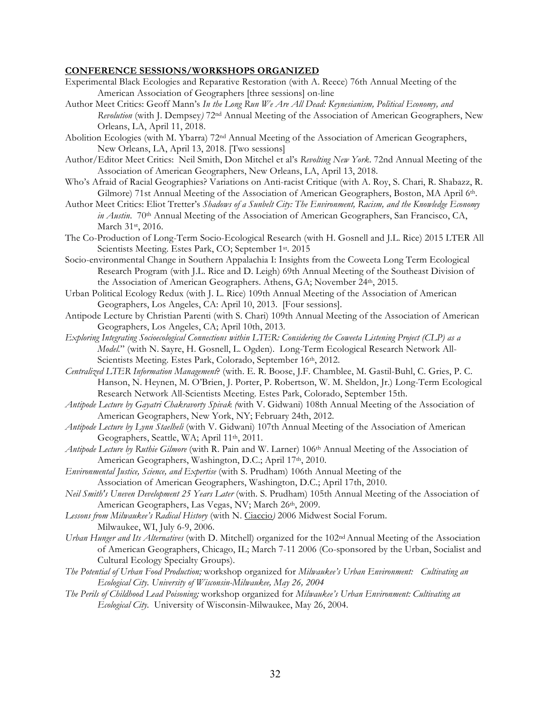#### **CONFERENCE SESSIONS/WORKSHOPS ORGANIZED**

- Experimental Black Ecologies and Reparative Restoration (with A. Reece) 76th Annual Meeting of the American Association of Geographers [three sessions] on-line
- Author Meet Critics: Geoff Mann's *In the Long Run We Are All Dead: Keynesianism, Political Economy, and Revolution* (with J. Dempsey*)* 72nd Annual Meeting of the Association of American Geographers, New Orleans, LA, April 11, 2018.
- Abolition Ecologies (with M. Ybarra) 72nd Annual Meeting of the Association of American Geographers, New Orleans, LA, April 13, 2018. [Two sessions]
- Author/Editor Meet Critics: Neil Smith, Don Mitchel et al's *Revolting New York*. 72nd Annual Meeting of the Association of American Geographers, New Orleans, LA, April 13, 2018.
- Who's Afraid of Racial Geographies? Variations on Anti-racist Critique (with A. Roy, S. Chari, R. Shabazz, R. Gilmore) 71st Annual Meeting of the Association of American Geographers, Boston, MA April 6th.
- Author Meet Critics: Eliot Tretter's *Shadows of a Sunbelt City: The Environment, Racism, and the Knowledge Economy in Austin.* 70<sup>th</sup> Annual Meeting of the Association of American Geographers, San Francisco, CA, March 31st, 2016.
- The Co-Production of Long-Term Socio-Ecological Research (with H. Gosnell and J.L. Rice) 2015 LTER All Scientists Meeting. Estes Park, CO; September 1st. 2015
- Socio-environmental Change in Southern Appalachia I: Insights from the Coweeta Long Term Ecological Research Program (with J.L. Rice and D. Leigh) 69th Annual Meeting of the Southeast Division of the Association of American Geographers. Athens, GA; November 24<sup>th</sup>, 2015.
- Urban Political Ecology Redux (with J. L. Rice) 109th Annual Meeting of the Association of American Geographers, Los Angeles, CA: April 10, 2013. [Four sessions].
- Antipode Lecture by Christian Parenti (with S. Chari) 109th Annual Meeting of the Association of American Geographers, Los Angeles, CA; April 10th, 2013.
- *Exploring Integrating Socioecological Connections within LTER: Considering the Coweeta Listening Project (CLP) as a Model.*" (with N. Sayre, H. Gosnell, L. Ogden). Long-Term Ecological Research Network All-Scientists Meeting. Estes Park, Colorado, September 16<sup>th</sup>, 2012.
- *Centralized LTER Information Management*? (with. E. R. Boose, J.F. Chamblee, M. Gastil-Buhl, C. Gries, P. C. Hanson, N. Heynen, M. O'Brien, J. Porter, P. Robertson, W. M. Sheldon, Jr.) Long-Term Ecological Research Network All-Scientists Meeting. Estes Park, Colorado, September 15th.
- *Antipode Lecture by Gayatri Chakravorty Spivak (*with V. Gidwani) 108th Annual Meeting of the Association of American Geographers, New York, NY; February 24th, 2012.
- *Antipode Lecture by Lynn Staelheli* (with V. Gidwani) 107th Annual Meeting of the Association of American Geographers, Seattle, WA; April 11th, 2011.
- *Antipode Lecture by Ruthie Gilmore* (with R. Pain and W. Larner) 106th Annual Meeting of the Association of American Geographers, Washington, D.C.; April 17<sup>th</sup>, 2010.
- *Environmental Justice, Science, and Expertise* (with S. Prudham) 106th Annual Meeting of the Association of American Geographers, Washington, D.C.; April 17th, 2010.
- *Neil Smith's Uneven Development 25 Years Later* (with. S. Prudham) 105th Annual Meeting of the Association of American Geographers, Las Vegas, NV; March 26th, 2009.
- *Lessons from Milwaukee's Radical History* (with N. Ciaccio*)* 2006 Midwest Social Forum. Milwaukee, WI, July 6-9, 2006.
- *Urban Hunger and Its Alternatives* (with D. Mitchell) organized for the 102nd Annual Meeting of the Association of American Geographers, Chicago, IL; March 7-11 2006 (Co-sponsored by the Urban, Socialist and Cultural Ecology Specialty Groups).
- *The Potential of Urban Food Production;* workshop organized for *Milwaukee's Urban Environment: Cultivating an Ecological City. University of Wisconsin-Milwaukee, May 26, 2004*
- *The Perils of Childhood Lead Poisoning;* workshop organized for *Milwaukee's Urban Environment: Cultivating an Ecological City.* University of Wisconsin-Milwaukee, May 26, 2004.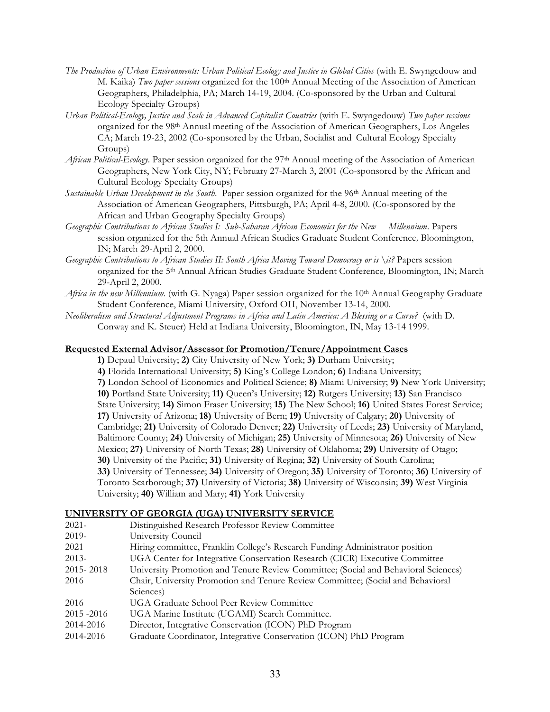- *The Production of Urban Environments: Urban Political Ecology and Justice in Global Cities* (with E. Swyngedouw and M. Kaika) *Two paper sessions* organized for the 100th Annual Meeting of the Association of American Geographers, Philadelphia, PA; March 14-19, 2004. (Co-sponsored by the Urban and Cultural Ecology Specialty Groups)
- *Urban Political-Ecology, Justice and Scale in Advanced Capitalist Countries* (with E. Swyngedouw) *Two paper sessions* organized for the 98th Annual meeting of the Association of American Geographers, Los Angeles CA; March 19-23, 2002 (Co-sponsored by the Urban, Socialist and Cultural Ecology Specialty Groups)
- *African Political-Ecology*. Paper session organized for the 97th Annual meeting of the Association of American Geographers, New York City, NY; February 27-March 3, 2001 (Co-sponsored by the African and Cultural Ecology Specialty Groups)
- *Sustainable Urban Development in the South*. Paper session organized for the 96th Annual meeting of the Association of American Geographers, Pittsburgh, PA; April 4-8, 2000. (Co-sponsored by the African and Urban Geography Specialty Groups)
- *Geographic Contributions to African Studies I: Sub-Saharan African Economics for the New Millennium*. Papers session organized for the 5th Annual African Studies Graduate Student Conference*,* Bloomington, IN; March 29-April 2, 2000.
- *Geographic Contributions to African Studies II: South Africa Moving Toward Democracy or is \it?* Papers session organized for the 5th Annual African Studies Graduate Student Conference*,* Bloomington, IN; March 29-April 2, 2000.
- *Africa in the new Millennium*. (with G. Nyaga) Paper session organized for the 10th Annual Geography Graduate Student Conference, Miami University, Oxford OH, November 13-14, 2000.
- *Neoliberalism and Structural Adjustment Programs in Africa and Latin America: A Blessing or a Curse?* (with D. Conway and K. Steuer) Held at Indiana University, Bloomington, IN, May 13-14 1999.

## **Requested External Advisor/Assessor for Promotion/Tenure/Appointment Cases**

- **1)** Depaul University; **2)** City University of New York; **3)** Durham University;
- **4)** Florida International University; **5)** King's College London; **6)** Indiana University; **7)** London School of Economics and Political Science; **8)** Miami University; **9)** New York University; **10)** Portland State University; **11)** Queen's University; **12)** Rutgers University; **13)** San Francisco State University; **14)** Simon Fraser University; **15)** The New School; **16)** United States Forest Service; **17)** University of Arizona; **18)** University of Bern; **19)** University of Calgary; **20)** University of Cambridge; **21)** University of Colorado Denver; **22)** University of Leeds; **23)** University of Maryland, Baltimore County; **24)** University of Michigan; **25)** University of Minnesota; **26)** University of New Mexico; **27)** University of North Texas; **28)** University of Oklahoma; **29)** University of Otago; **30)** University of the Pacific; **31)** University of Regina; **32)** University of South Carolina; **33)** University of Tennessee; **34)** University of Oregon; **35)** University of Toronto; **36)** University of Toronto Scarborough; **37)** University of Victoria; **38)** University of Wisconsin; **39)** West Virginia University; **40)** William and Mary; **41)** York University

## **UNIVERSITY OF GEORGIA (UGA) UNIVERSITY SERVICE**

2021- Distinguished Research Professor Review Committee 2019- University Council 2021 Hiring committee, Franklin College's Research Funding Administrator position 2013- UGA Center for Integrative Conservation Research (CICR) Executive Committee 2015- 2018 University Promotion and Tenure Review Committee; (Social and Behavioral Sciences) 2016 Chair, University Promotion and Tenure Review Committee; (Social and Behavioral Sciences) 2016 UGA Graduate School Peer Review Committee 2015 -2016 UGA Marine Institute (UGAMI) Search Committee. 2014-2016 Director, Integrative Conservation (ICON) PhD Program 2014-2016 Graduate Coordinator, Integrative Conservation (ICON) PhD Program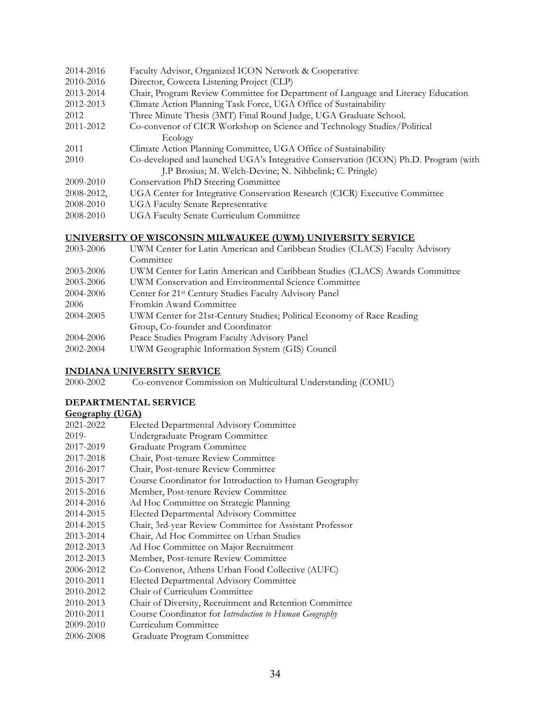| 2014-2016  | Faculty Advisor, Organized ICON Network & Cooperative                               |  |
|------------|-------------------------------------------------------------------------------------|--|
| 2010-2016  | Director, Coweeta Listening Project (CLP)                                           |  |
| 2013-2014  | Chair, Program Review Committee for Department of Language and Literacy Education   |  |
| 2012-2013  | Climate Action Planning Task Force, UGA Office of Sustainability                    |  |
| 2012       | Three Minute Thesis (3MT) Final Round Judge, UGA Graduate School.                   |  |
| 2011-2012  | Co-convenor of CICR Workshop on Science and Technology Studies/Political            |  |
|            | Ecology                                                                             |  |
| 2011       | Climate Action Planning Committee, UGA Office of Sustainability                     |  |
| 2010       | Co-developed and launched UGA's Integrative Conservation (ICON) Ph.D. Program (with |  |
|            | J.P Brosius; M. Welch-Devine; N. Nibbelink; C. Pringle)                             |  |
| 2009-2010  | Conservation PhD Steering Committee                                                 |  |
| 2008-2012, | UGA Center for Integrative Conservation Research (CICR) Executive Committee         |  |
| 2008-2010  | <b>UGA Faculty Senate Representative</b>                                            |  |
| 2008-2010  | <b>UGA Faculty Senate Curriculum Committee</b>                                      |  |
|            |                                                                                     |  |

## **UNIVERSITY OF WISCONSIN MILWAUKEE (UWM) UNIVERSITY SERVICE**

| 2003-2006 | UWM Center for Latin American and Caribbean Studies (CLACS) Faculty Advisory |  |
|-----------|------------------------------------------------------------------------------|--|
|           | Committee                                                                    |  |
| 2003-2006 | UWM Center for Latin American and Caribbean Studies (CLACS) Awards Committee |  |
| 2003-2006 | UWM Conservation and Environmental Science Committee                         |  |
| 2004-2006 | Center for 21 <sup>st</sup> Century Studies Faculty Advisory Panel           |  |
| 2006      | Fromkin Award Committee                                                      |  |
| 2004-2005 | UWM Center for 21st-Century Studies; Political Economy of Race Reading       |  |
|           | Group, Co-founder and Coordinator                                            |  |
| 2004-2006 | Peace Studies Program Faculty Advisory Panel                                 |  |
| 2002-2004 | UWM Geographic Information System (GIS) Council                              |  |
|           |                                                                              |  |

### **INDIANA UNIVERSITY SERVICE**

2000-2002 Co-convenor Commission on Multicultural Understanding (COMU)

## **DEPARTMENTAL SERVICE**

## **Geography (UGA)**

| 2021-2022 | <b>Elected Departmental Advisory Committee</b>           |
|-----------|----------------------------------------------------------|
| 2019-     | Undergraduate Program Committee                          |
| 2017-2019 | Graduate Program Committee                               |
| 2017-2018 | Chair, Post-tenure Review Committee                      |
| 2016-2017 | Chair, Post-tenure Review Committee                      |
| 2015-2017 | Course Coordinator for Introduction to Human Geography   |
| 2015-2016 | Member, Post-tenure Review Committee                     |
| 2014-2016 | Ad Hoc Committee on Strategic Planning                   |
| 2014-2015 | Elected Departmental Advisory Committee                  |
| 2014-2015 | Chair, 3rd-year Review Committee for Assistant Professor |
| 2013-2014 | Chair, Ad Hoc Committee on Urban Studies                 |
| 2012-2013 | Ad Hoc Committee on Major Recruitment                    |
| 2012-2013 | Member, Post-tenure Review Committee                     |
| 2006-2012 | Co-Convenor, Athens Urban Food Collective (AUFC)         |
| 2010-2011 | Elected Departmental Advisory Committee                  |
| 2010-2012 | Chair of Curriculum Committee                            |
| 2010-2013 | Chair of Diversity, Recruitment and Retention Committee  |
| 2010-2011 | Course Coordinator for Introduction to Human Geography   |
| 2009-2010 | Curriculum Committee                                     |

2006-2008 Graduate Program Committee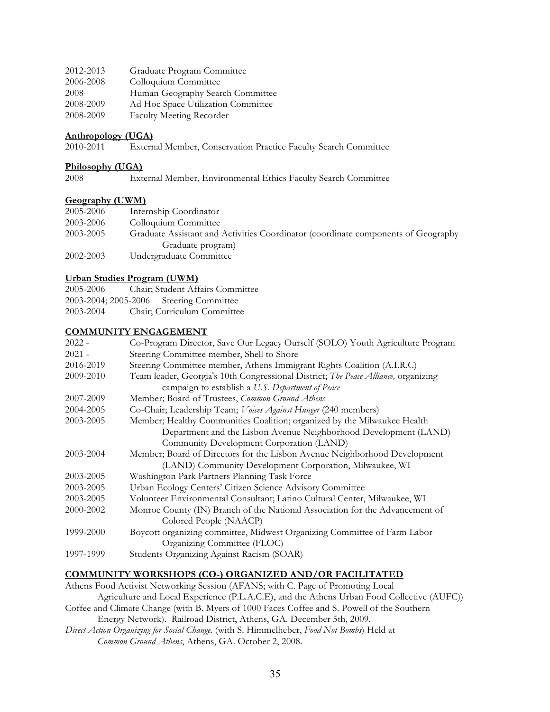| 2012-2013 | Graduate Program Committee         |
|-----------|------------------------------------|
| 2006-2008 | Colloquium Committee               |
| 2008      | Human Geography Search Committee   |
| 2008-2009 | Ad Hoc Space Utilization Committee |
| 2008-2009 | <b>Faculty Meeting Recorder</b>    |

### **Anthropology (UGA)**

2010-2011 External Member, Conservation Practice Faculty Search Committee

#### **Philosophy (UGA)**

2008 External Member, Environmental Ethics Faculty Search Committee

### **Geography (UWM)**

| 2005-2006 | Internship Coordinator                                                            |
|-----------|-----------------------------------------------------------------------------------|
| 2003-2006 | Colloquium Committee                                                              |
| 2003-2005 | Graduate Assistant and Activities Coordinator (coordinate components of Geography |
|           | Graduate program)                                                                 |
| 2002-2003 | Undergraduate Committee                                                           |

## **Urban Studies Program (UWM)**

| 2005-2006 | Chair; Student Affairs Committee        |
|-----------|-----------------------------------------|
|           | 2003-2004; 2005-2006 Steering Committee |
| 2003-2004 | Chair; Curriculum Committee             |

## **COMMUNITY ENGAGEMENT**

| $2022 -$  | Co-Program Director, Save Our Legacy Ourself (SOLO) Youth Agriculture Program      |
|-----------|------------------------------------------------------------------------------------|
| $2021 -$  | Steering Committee member, Shell to Shore                                          |
| 2016-2019 | Steering Committee member, Athens Immigrant Rights Coalition (A.I.R.C)             |
| 2009-2010 | Team leader, Georgia's 10th Congressional District; The Peace Alliance, organizing |
|           | campaign to establish a U.S. Department of Peace                                   |
| 2007-2009 | Member; Board of Trustees, Common Ground Athens                                    |
| 2004-2005 | Co-Chair; Leadership Team; Voices Against Hunger (240 members)                     |
| 2003-2005 | Member; Healthy Communities Coalition; organized by the Milwaukee Health           |
|           | Department and the Lisbon Avenue Neighborhood Development (LAND)                   |
|           | Community Development Corporation (LAND)                                           |
| 2003-2004 | Member; Board of Directors for the Lisbon Avenue Neighborhood Development          |
|           | (LAND) Community Development Corporation, Milwaukee, WI                            |
| 2003-2005 | Washington Park Partners Planning Task Force                                       |
| 2003-2005 | Urban Ecology Centers' Citizen Science Advisory Committee                          |
| 2003-2005 | Volunteer Environmental Consultant; Latino Cultural Center, Milwaukee, WI          |
| 2000-2002 | Monroe County (IN) Branch of the National Association for the Advancement of       |
|           | Colored People (NAACP)                                                             |
| 1999-2000 | Boycott organizing committee, Midwest Organizing Committee of Farm Labor           |
|           | Organizing Committee (FLOC)                                                        |
| 1997-1999 | Students Organizing Against Racism (SOAR)                                          |
|           |                                                                                    |

## **COMMUNITY WORKSHOPS (CO-) ORGANIZED AND/OR FACILITATED**

Athens Food Activist Networking Session (AFANS; with C. Page of Promoting Local Agriculture and Local Experience (P.L.A.C.E), and the Athens Urban Food Collective (AUFC)) Coffee and Climate Change (with B. Myers of 1000 Faces Coffee and S. Powell of the Southern Energy Network). Railroad District, Athens, GA. December 5th, 2009.

*Direct Action Organizing for Social Change.* (with S. Himmelheber, *Food Not Bombs*) Held at *Common Ground Athens*, Athens, GA. October 2, 2008.